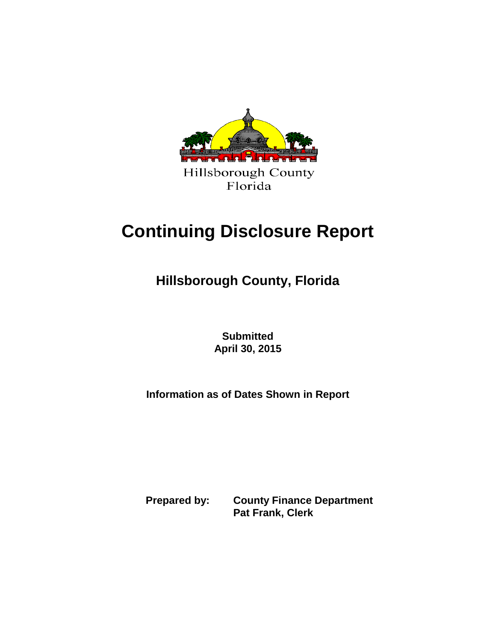

# **Continuing Disclosure Report**

**Hillsborough County, Florida**

**Submitted April 30, 2015**

**Information as of Dates Shown in Report**

**Prepared by: County Finance Department Pat Frank, Clerk**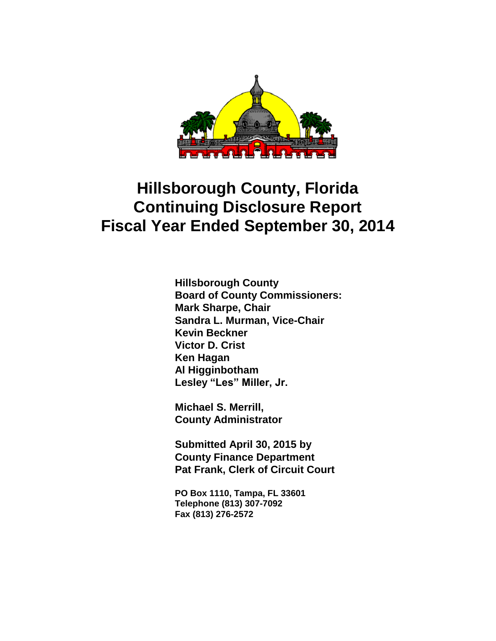

**Hillsborough County Board of County Commissioners: Mark Sharpe, Chair Sandra L. Murman, Vice-Chair Kevin Beckner Victor D. Crist Ken Hagan Al Higginbotham Lesley "Les" Miller, Jr.**

**Michael S. Merrill, County Administrator**

**Submitted April 30, 2015 by County Finance Department Pat Frank, Clerk of Circuit Court**

**PO Box 1110, Tampa, FL 33601 Telephone (813) 307-7092 Fax (813) 276-2572**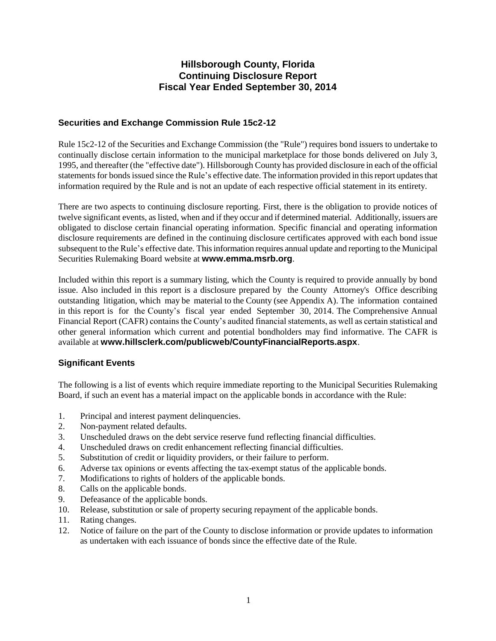# **Securities and Exchange Commission Rule 15c2-12**

Rule 15c2-12 of the Securities and Exchange Commission (the "Rule") requires bond issuers to undertake to continually disclose certain information to the municipal marketplace for those bonds delivered on July 3, 1995, and thereafter (the "effective date"). Hillsborough County has provided disclosure in each of the official statements for bonds issued since the Rule's effective date. The information provided in this report updates that information required by the Rule and is not an update of each respective official statement in its entirety.

There are two aspects to continuing disclosure reporting. First, there is the obligation to provide notices of twelve significant events, as listed, when and if they occur and if determined material. Additionally, issuers are obligated to disclose certain financial operating information. Specific financial and operating information disclosure requirements are defined in the continuing disclosure certificates approved with each bond issue subsequent to the Rule's effective date. This information requires annual update and reporting to the Municipal Securities Rulemaking Board website at **www.emma.msrb.org**.

Included within this report is a summary listing, which the County is required to provide annually by bond issue. Also included in this report is a disclosure prepared by the County Attorney's Office describing outstanding litigation, which may be material to the County (see Appendix A). The information contained in this report is for the County's fiscal year ended September 30, 2014. The Comprehensive Annual Financial Report (CAFR) contains the County's audited financial statements, as well as certain statistical and other general information which current and potential bondholders may find informative. The CAFR is available at **www.hillsclerk.com/publicweb/CountyFinancialReports.aspx**.

# **Significant Events**

The following is a list of events which require immediate reporting to the Municipal Securities Rulemaking Board, if such an event has a material impact on the applicable bonds in accordance with the Rule:

- 1. Principal and interest payment delinquencies.
- 2. Non-payment related defaults.
- 3. Unscheduled draws on the debt service reserve fund reflecting financial difficulties.
- 4. Unscheduled draws on credit enhancement reflecting financial difficulties.
- 5. Substitution of credit or liquidity providers, or their failure to perform.
- 6. Adverse tax opinions or events affecting the tax-exempt status of the applicable bonds.
- 7. Modifications to rights of holders of the applicable bonds.
- 8. Calls on the applicable bonds.
- 9. Defeasance of the applicable bonds.
- 10. Release, substitution or sale of property securing repayment of the applicable bonds.
- 11. Rating changes.
- 12. Notice of failure on the part of the County to disclose information or provide updates to information as undertaken with each issuance of bonds since the effective date of the Rule.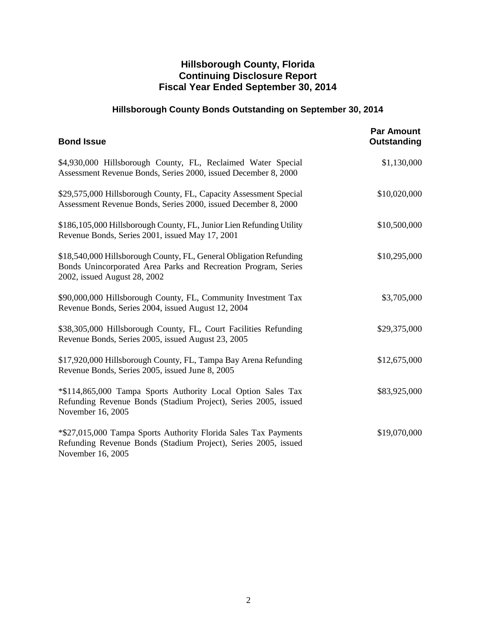# **Hillsborough County Bonds Outstanding on September 30, 2014**

| <b>Bond Issue</b>                                                                                                                                                    | <b>Par Amount</b><br>Outstanding |
|----------------------------------------------------------------------------------------------------------------------------------------------------------------------|----------------------------------|
| \$4,930,000 Hillsborough County, FL, Reclaimed Water Special<br>Assessment Revenue Bonds, Series 2000, issued December 8, 2000                                       | \$1,130,000                      |
| \$29,575,000 Hillsborough County, FL, Capacity Assessment Special<br>Assessment Revenue Bonds, Series 2000, issued December 8, 2000                                  | \$10,020,000                     |
| \$186,105,000 Hillsborough County, FL, Junior Lien Refunding Utility<br>Revenue Bonds, Series 2001, issued May 17, 2001                                              | \$10,500,000                     |
| \$18,540,000 Hillsborough County, FL, General Obligation Refunding<br>Bonds Unincorporated Area Parks and Recreation Program, Series<br>2002, issued August 28, 2002 | \$10,295,000                     |
| \$90,000,000 Hillsborough County, FL, Community Investment Tax<br>Revenue Bonds, Series 2004, issued August 12, 2004                                                 | \$3,705,000                      |
| \$38,305,000 Hillsborough County, FL, Court Facilities Refunding<br>Revenue Bonds, Series 2005, issued August 23, 2005                                               | \$29,375,000                     |
| \$17,920,000 Hillsborough County, FL, Tampa Bay Arena Refunding<br>Revenue Bonds, Series 2005, issued June 8, 2005                                                   | \$12,675,000                     |
| *\$114,865,000 Tampa Sports Authority Local Option Sales Tax<br>Refunding Revenue Bonds (Stadium Project), Series 2005, issued<br>November 16, 2005                  | \$83,925,000                     |
| *\$27,015,000 Tampa Sports Authority Florida Sales Tax Payments<br>Refunding Revenue Bonds (Stadium Project), Series 2005, issued<br>November 16, 2005               | \$19,070,000                     |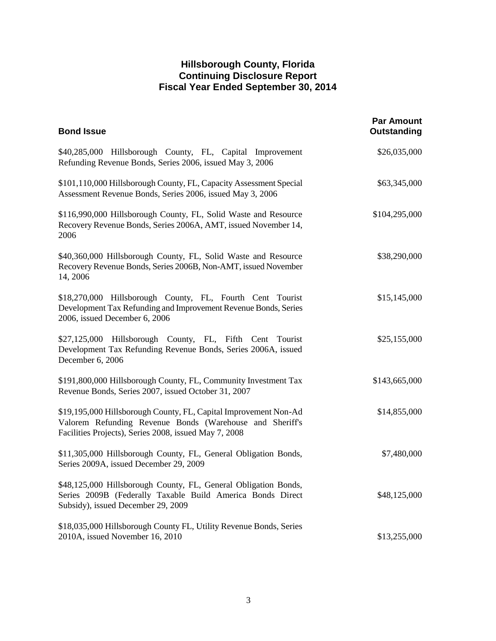| <b>Bond Issue</b>                                                                                                                                                                     | <b>Par Amount</b><br>Outstanding |
|---------------------------------------------------------------------------------------------------------------------------------------------------------------------------------------|----------------------------------|
| \$40,285,000 Hillsborough County, FL, Capital Improvement<br>Refunding Revenue Bonds, Series 2006, issued May 3, 2006                                                                 | \$26,035,000                     |
| \$101,110,000 Hillsborough County, FL, Capacity Assessment Special<br>Assessment Revenue Bonds, Series 2006, issued May 3, 2006                                                       | \$63,345,000                     |
| \$116,990,000 Hillsborough County, FL, Solid Waste and Resource<br>Recovery Revenue Bonds, Series 2006A, AMT, issued November 14,<br>2006                                             | \$104,295,000                    |
| \$40,360,000 Hillsborough County, FL, Solid Waste and Resource<br>Recovery Revenue Bonds, Series 2006B, Non-AMT, issued November<br>14, 2006                                          | \$38,290,000                     |
| \$18,270,000 Hillsborough County, FL, Fourth Cent Tourist<br>Development Tax Refunding and Improvement Revenue Bonds, Series<br>2006, issued December 6, 2006                         | \$15,145,000                     |
| \$27,125,000 Hillsborough County, FL, Fifth Cent Tourist<br>Development Tax Refunding Revenue Bonds, Series 2006A, issued<br>December 6, 2006                                         | \$25,155,000                     |
| \$191,800,000 Hillsborough County, FL, Community Investment Tax<br>Revenue Bonds, Series 2007, issued October 31, 2007                                                                | \$143,665,000                    |
| \$19,195,000 Hillsborough County, FL, Capital Improvement Non-Ad<br>Valorem Refunding Revenue Bonds (Warehouse and Sheriff's<br>Facilities Projects), Series 2008, issued May 7, 2008 | \$14,855,000                     |
| \$11,305,000 Hillsborough County, FL, General Obligation Bonds,<br>Series 2009A, issued December 29, 2009                                                                             | \$7,480,000                      |
| \$48,125,000 Hillsborough County, FL, General Obligation Bonds,<br>Series 2009B (Federally Taxable Build America Bonds Direct<br>Subsidy), issued December 29, 2009                   | \$48,125,000                     |
| \$18,035,000 Hillsborough County FL, Utility Revenue Bonds, Series<br>2010A, issued November 16, 2010                                                                                 | \$13,255,000                     |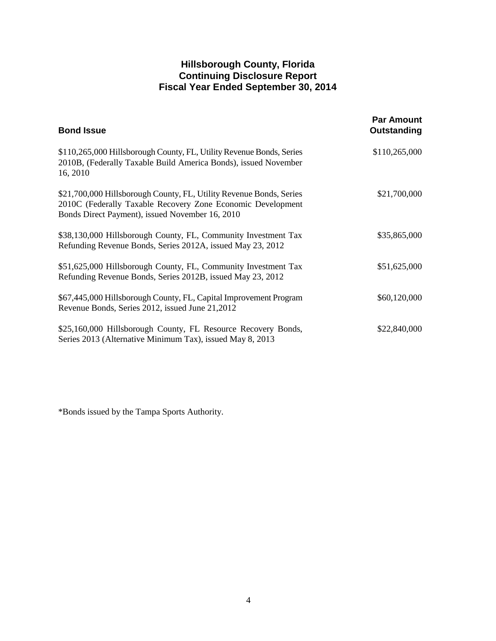| <b>Bond Issue</b>                                                                                                                                                                     | <b>Par Amount</b><br>Outstanding |
|---------------------------------------------------------------------------------------------------------------------------------------------------------------------------------------|----------------------------------|
| \$110,265,000 Hillsborough County, FL, Utility Revenue Bonds, Series<br>2010B, (Federally Taxable Build America Bonds), issued November<br>16, 2010                                   | \$110,265,000                    |
| \$21,700,000 Hillsborough County, FL, Utility Revenue Bonds, Series<br>2010C (Federally Taxable Recovery Zone Economic Development<br>Bonds Direct Payment), issued November 16, 2010 | \$21,700,000                     |
| \$38,130,000 Hillsborough County, FL, Community Investment Tax<br>Refunding Revenue Bonds, Series 2012A, issued May 23, 2012                                                          | \$35,865,000                     |
| \$51,625,000 Hillsborough County, FL, Community Investment Tax<br>Refunding Revenue Bonds, Series 2012B, issued May 23, 2012                                                          | \$51,625,000                     |
| \$67,445,000 Hillsborough County, FL, Capital Improvement Program<br>Revenue Bonds, Series 2012, issued June 21, 2012                                                                 | \$60,120,000                     |
| \$25,160,000 Hillsborough County, FL Resource Recovery Bonds,<br>Series 2013 (Alternative Minimum Tax), issued May 8, 2013                                                            | \$22,840,000                     |

\*Bonds issued by the Tampa Sports Authority.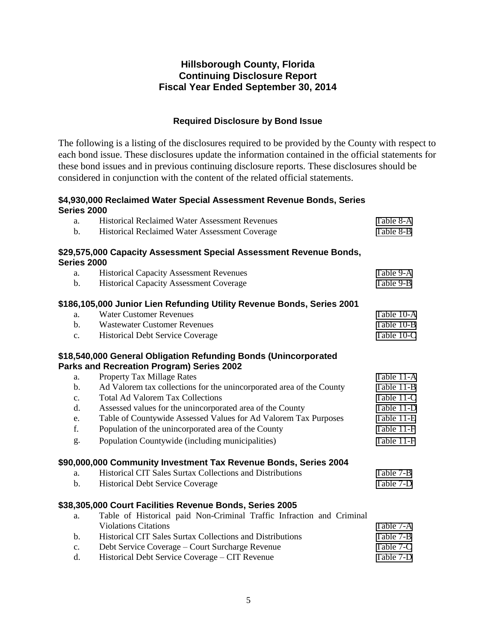# **Required Disclosure by Bond Issue**

The following is a listing of the disclosures required to be provided by the County with respect to each bond issue. These disclosures update the information contained in the official statements for these bond issues and in previous continuing disclosure reports. These disclosures should be considered in conjunction with the content of the related official statements.

## **\$4,930,000 Reclaimed Water Special Assessment Revenue Bonds, Series Series 2000**

| a.             | <b>Historical Reclaimed Water Assessment Revenues</b>                  | Table 8-A  |
|----------------|------------------------------------------------------------------------|------------|
| b.             | Historical Reclaimed Water Assessment Coverage                         | Table 8-B  |
|                | \$29,575,000 Capacity Assessment Special Assessment Revenue Bonds,     |            |
| Series 2000    |                                                                        |            |
| a.             | <b>Historical Capacity Assessment Revenues</b>                         | Table 9-A  |
| $\mathbf{b}$ . | <b>Historical Capacity Assessment Coverage</b>                         | Table 9-B  |
|                | \$186,105,000 Junior Lien Refunding Utility Revenue Bonds, Series 2001 |            |
| a.             | <b>Water Customer Revenues</b>                                         | Table 10-A |
| $\mathbf{b}$ . | <b>Wastewater Customer Revenues</b>                                    | Table 10-B |
| c.             | <b>Historical Debt Service Coverage</b>                                | Table 10-C |
|                | \$18,540,000 General Obligation Refunding Bonds (Unincorporated        |            |
|                | Parks and Recreation Program) Series 2002                              |            |
| a.             | <b>Property Tax Millage Rates</b>                                      | Table 11-A |
| b.             | Ad Valorem tax collections for the unincorporated area of the County   | Table 11-B |
| c.             | <b>Total Ad Valorem Tax Collections</b>                                | Table 11-C |
| d.             | Assessed values for the unincorporated area of the County              | Table 11-D |
| e.             | Table of Countywide Assessed Values for Ad Valorem Tax Purposes        | Table 11-E |
| f.             | Population of the unincorporated area of the County                    | Table 11-F |
| g.             | Population Countywide (including municipalities)                       | Table 11-F |
|                | \$90,000,000 Community Investment Tax Revenue Bonds, Series 2004       |            |
| a.             | Historical CIT Sales Surtax Collections and Distributions              | Table 7-B  |
| $\mathbf b$ .  | <b>Historical Debt Service Coverage</b>                                | Table 7-D  |
|                | \$38,305,000 Court Facilities Revenue Bonds, Series 2005               |            |
| a.             | Table of Historical paid Non-Criminal Traffic Infraction and Criminal  |            |
|                | <b>Violations Citations</b>                                            | Table 7-A  |
| $\mathbf b$ .  | Historical CIT Sales Surtax Collections and Distributions              | Table 7-B  |
| c.             | Debt Service Coverage - Court Surcharge Revenue                        | Table 7-C  |
| d.             | Historical Debt Service Coverage - CIT Revenue                         | Table 7-D  |
|                |                                                                        |            |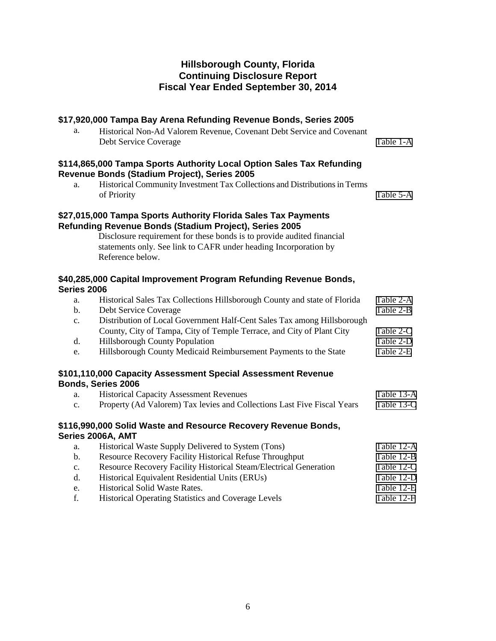# **\$17,920,000 Tampa Bay Arena Refunding Revenue Bonds, Series 2005**

## a. Historical Non-Ad Valorem Revenue, Covenant Debt Service and Covenant Debt Service Coverage [Table 1-A](#page-11-0)

## **\$114,865,000 Tampa Sports Authority Local Option Sales Tax Refunding Revenue Bonds (Stadium Project), Series 2005**

a. Historical Community Investment Tax Collections and Distributions in Terms of Priority [Table 5-A](#page-20-0)

## **\$27,015,000 Tampa Sports Authority Florida Sales Tax Payments Refunding Revenue Bonds (Stadium Project), Series 2005**

Disclosure requirement for these bonds is to provide audited financial statements only. See link to CAFR under heading Incorporation by Reference below.

# **\$40,285,000 Capital Improvement Program Refunding Revenue Bonds, Series 2006**

| a.             | Historical Sales Tax Collections Hillsborough County and state of Florida                                                            | Table 2-A  |
|----------------|--------------------------------------------------------------------------------------------------------------------------------------|------------|
| b.             | Debt Service Coverage                                                                                                                | Table 2-B  |
| c.             | Distribution of Local Government Half-Cent Sales Tax among Hillsborough                                                              |            |
|                | County, City of Tampa, City of Temple Terrace, and City of Plant City                                                                | Table 2-C  |
| d.             | <b>Hillsborough County Population</b>                                                                                                | Table 2-D  |
| e.             | Hillsborough County Medicaid Reimbursement Payments to the State                                                                     | Table 2-E  |
| a.             | \$101,110,000 Capacity Assessment Special Assessment Revenue<br>Bonds, Series 2006<br><b>Historical Capacity Assessment Revenues</b> | Table 13-A |
| $\mathbf{c}$ . | Property (Ad Valorem) Tax levies and Collections Last Five Fiscal Years                                                              | Table 13-C |

# **\$116,990,000 Solid Waste and Resource Recovery Revenue Bonds, Series 2006A, AMT**

| a.             | Historical Waste Supply Delivered to System (Tons)                | Table 12-A |
|----------------|-------------------------------------------------------------------|------------|
| $\mathbf{b}$ . | Resource Recovery Facility Historical Refuse Throughput           | Table 12-B |
| $\mathbf{c}$ . | Resource Recovery Facility Historical Steam/Electrical Generation | Table 12-C |
| d.             | Historical Equivalent Residential Units (ERUs)                    | Table 12-D |
| e.             | <b>Historical Solid Waste Rates.</b>                              | Table 12-E |
| f.             | <b>Historical Operating Statistics and Coverage Levels</b>        | Table 12-F |
|                |                                                                   |            |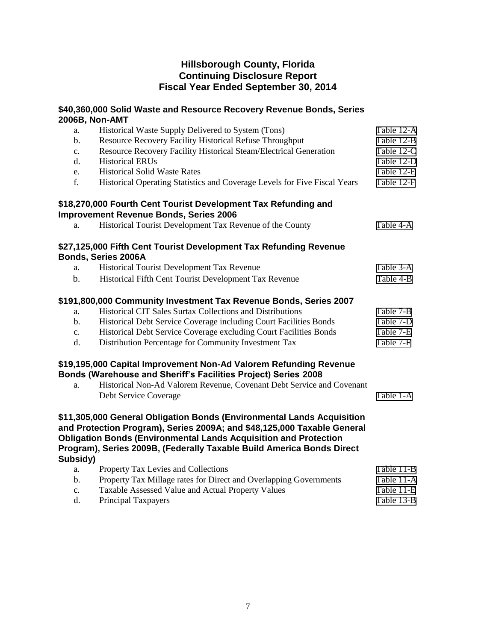|               | \$40,360,000 Solid Waste and Resource Recovery Revenue Bonds, Series<br>2006B, Non-AMT                                                                                                                                                                                                                                             |            |
|---------------|------------------------------------------------------------------------------------------------------------------------------------------------------------------------------------------------------------------------------------------------------------------------------------------------------------------------------------|------------|
| a.            | Historical Waste Supply Delivered to System (Tons)                                                                                                                                                                                                                                                                                 | Table 12-A |
| b.            | Resource Recovery Facility Historical Refuse Throughput                                                                                                                                                                                                                                                                            | Table 12-B |
| $\mathbf{c}.$ | Resource Recovery Facility Historical Steam/Electrical Generation                                                                                                                                                                                                                                                                  | Table 12-C |
| d.            | <b>Historical ERUs</b>                                                                                                                                                                                                                                                                                                             | Table 12-D |
| e.            | <b>Historical Solid Waste Rates</b>                                                                                                                                                                                                                                                                                                | Table 12-E |
| f.            | Historical Operating Statistics and Coverage Levels for Five Fiscal Years                                                                                                                                                                                                                                                          | Table 12-F |
|               | \$18,270,000 Fourth Cent Tourist Development Tax Refunding and<br><b>Improvement Revenue Bonds, Series 2006</b>                                                                                                                                                                                                                    |            |
| a.            | Historical Tourist Development Tax Revenue of the County                                                                                                                                                                                                                                                                           | Table 4-A  |
|               | \$27,125,000 Fifth Cent Tourist Development Tax Refunding Revenue<br>Bonds, Series 2006A                                                                                                                                                                                                                                           |            |
| a.            | Historical Tourist Development Tax Revenue                                                                                                                                                                                                                                                                                         | Table 3-A  |
| $\mathbf b$ . | Historical Fifth Cent Tourist Development Tax Revenue                                                                                                                                                                                                                                                                              | Table 4-B  |
|               | \$191,800,000 Community Investment Tax Revenue Bonds, Series 2007                                                                                                                                                                                                                                                                  |            |
| a.            | Historical CIT Sales Surtax Collections and Distributions                                                                                                                                                                                                                                                                          | Table 7-B  |
| $\mathbf b$ . | Historical Debt Service Coverage including Court Facilities Bonds                                                                                                                                                                                                                                                                  | Table 7-D  |
| $\mathbf{c}.$ | Historical Debt Service Coverage excluding Court Facilities Bonds                                                                                                                                                                                                                                                                  | Table 7-E  |
| d.            | Distribution Percentage for Community Investment Tax                                                                                                                                                                                                                                                                               | Table 7-F  |
|               | \$19,195,000 Capital Improvement Non-Ad Valorem Refunding Revenue<br>Bonds (Warehouse and Sheriff's Facilities Project) Series 2008                                                                                                                                                                                                |            |
| a.            | Historical Non-Ad Valorem Revenue, Covenant Debt Service and Covenant                                                                                                                                                                                                                                                              |            |
|               | Debt Service Coverage                                                                                                                                                                                                                                                                                                              | Table 1-A  |
| Subsidy)      | \$11,305,000 General Obligation Bonds (Environmental Lands Acquisition<br>and Protection Program), Series 2009A; and \$48,125,000 Taxable General<br><b>Obligation Bonds (Environmental Lands Acquisition and Protection</b><br>Program), Series 2009B, (Federally Taxable Build America Bonds Direct                              |            |
| a.            | Property Tax Levies and Collections                                                                                                                                                                                                                                                                                                | Table 11-B |
| $b$ .         | Property Tax Millage rates for Direct and Overlapping Governments                                                                                                                                                                                                                                                                  | Table 11-A |
|               | $\mathbf{1}$ $\mathbf{1}$ $\mathbf{1}$ $\mathbf{1}$ $\mathbf{1}$ $\mathbf{1}$ $\mathbf{1}$ $\mathbf{1}$ $\mathbf{1}$ $\mathbf{1}$ $\mathbf{1}$ $\mathbf{1}$ $\mathbf{1}$ $\mathbf{1}$ $\mathbf{1}$ $\mathbf{1}$ $\mathbf{1}$ $\mathbf{1}$ $\mathbf{1}$ $\mathbf{1}$ $\mathbf{1}$ $\mathbf{1}$ $\mathbf{1}$ $\mathbf{1}$ $\mathbf{$ | m 11 11 m  |

c. Taxable Assessed Value and Actual Property Values [Table 11-E](#page-37-0) d. Principal Taxpayers [Table 13-B](#page-34-0)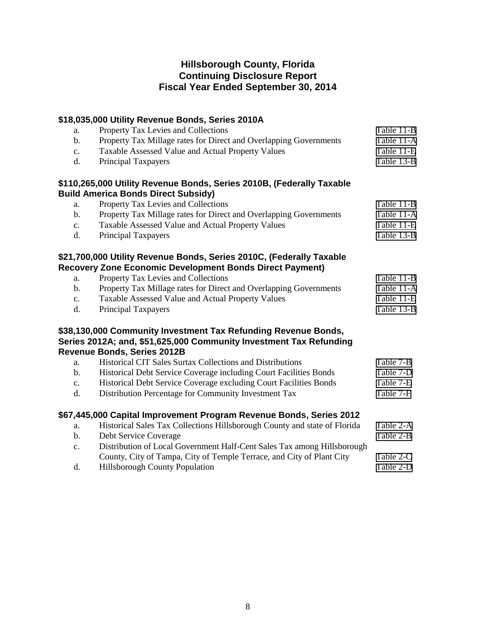|                | \$18,035,000 Utility Revenue Bonds, Series 2010A                          |            |
|----------------|---------------------------------------------------------------------------|------------|
| a.             | Property Tax Levies and Collections                                       | Table 11-B |
| $\mathbf b$ .  | Property Tax Millage rates for Direct and Overlapping Governments         | Table 11-A |
| c.             | Taxable Assessed Value and Actual Property Values                         | Table 11-E |
| d.             | Principal Taxpayers                                                       | Table 13-B |
|                | \$110,265,000 Utility Revenue Bonds, Series 2010B, (Federally Taxable     |            |
|                | <b>Build America Bonds Direct Subsidy)</b>                                |            |
| a.             | Property Tax Levies and Collections                                       | Table 11-B |
| $\mathbf b$ .  | Property Tax Millage rates for Direct and Overlapping Governments         | Table 11-A |
| $\mathbf{c}.$  | Taxable Assessed Value and Actual Property Values                         | Table 11-E |
| $\mathbf{d}$ . | Principal Taxpayers                                                       | Table 13-B |
|                | \$21,700,000 Utility Revenue Bonds, Series 2010C, (Federally Taxable      |            |
|                | <b>Recovery Zone Economic Development Bonds Direct Payment)</b>           |            |
| a.             | Property Tax Levies and Collections                                       | Table 11-B |
| $\mathbf b$ .  | Property Tax Millage rates for Direct and Overlapping Governments         | Table 11-A |
| c.             | Taxable Assessed Value and Actual Property Values                         | Table 11-E |
| d.             | Principal Taxpayers                                                       | Table 13-B |
|                | \$38,130,000 Community Investment Tax Refunding Revenue Bonds,            |            |
|                | Series 2012A; and, \$51,625,000 Community Investment Tax Refunding        |            |
|                | <b>Revenue Bonds, Series 2012B</b>                                        |            |
| a.             | Historical CIT Sales Surtax Collections and Distributions                 | Table 7-B  |
| b.             | Historical Debt Service Coverage including Court Facilities Bonds         | Table 7-D  |
| c.             | Historical Debt Service Coverage excluding Court Facilities Bonds         | Table 7-E  |
| d.             | Distribution Percentage for Community Investment Tax                      | Table 7-F  |
|                | \$67,445,000 Capital Improvement Program Revenue Bonds, Series 2012       |            |
| a.             | Historical Sales Tax Collections Hillsborough County and state of Florida | Table 2-A  |
| b.             | Debt Service Coverage                                                     | Table 2-B  |
| c.             | Distribution of Local Government Half-Cent Sales Tax among Hillsborough   |            |
|                | County, City of Tampa, City of Temple Terrace, and City of Plant City     | Table 2-C  |
| d.             | Hillsborough County Population                                            | Table 2-D  |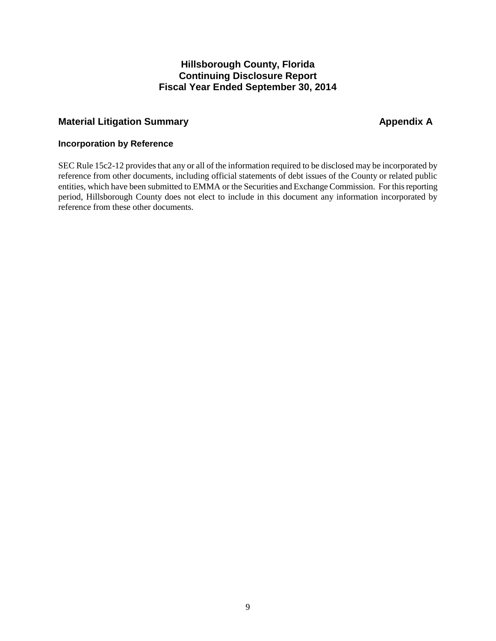# <span id="page-10-0"></span>**Material Litigation Summary Appendix A** Appendix A

## **Incorporation by Reference**

SEC Rule 15c2-12 provides that any or all of the information required to be disclosed may be incorporated by reference from other documents, including official statements of debt issues of the County or related public entities, which have been submitted to EMMA or the Securities and Exchange Commission. For this reporting period, Hillsborough County does not elect to include in this document any information incorporated by reference from these other documents.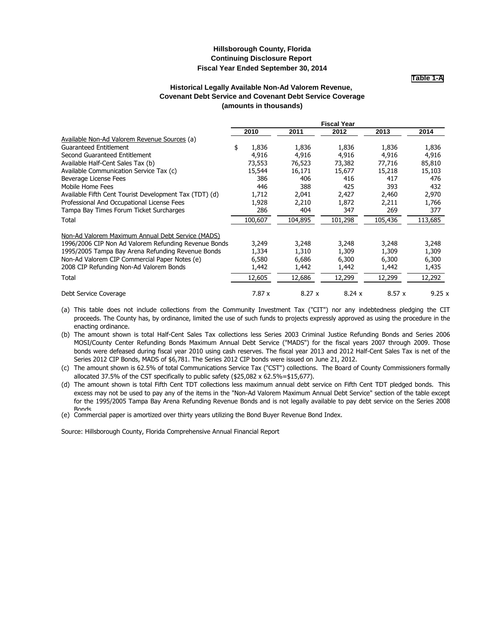**Table 1-A**

#### **Historical Legally Available Non-Ad Valorem Revenue, Covenant Debt Service and Covenant Debt Service Coverage (amounts in thousands)**

<span id="page-11-0"></span>

|                                                        |             |         | <b>Fiscal Year</b> |         |         |  |
|--------------------------------------------------------|-------------|---------|--------------------|---------|---------|--|
|                                                        | 2010        | 2011    | 2012               | 2013    | 2014    |  |
| Available Non-Ad Valorem Revenue Sources (a)           |             |         |                    |         |         |  |
| Guaranteed Entitlement                                 | \$<br>1,836 | 1,836   | 1,836              | 1,836   | 1,836   |  |
| Second Guaranteed Entitlement                          | 4,916       | 4,916   | 4,916              | 4,916   | 4,916   |  |
| Available Half-Cent Sales Tax (b)                      | 73,553      | 76,523  | 73,382             | 77,716  | 85,810  |  |
| Available Communication Service Tax (c)                | 15,544      | 16,171  | 15,677             | 15,218  | 15,103  |  |
| Beverage License Fees                                  | 386         | 406     | 416                | 417     | 476     |  |
| Mobile Home Fees                                       | 446         | 388     | 425                | 393     | 432     |  |
| Available Fifth Cent Tourist Development Tax (TDT) (d) | 1,712       | 2,041   | 2,427              | 2,460   | 2,970   |  |
| Professional And Occupational License Fees             | 1,928       | 2,210   | 1,872              | 2,211   | 1,766   |  |
| Tampa Bay Times Forum Ticket Surcharges                | 286         | 404     | 347                | 269     | 377     |  |
| Total                                                  | 100,607     | 104,895 | 101,298            | 105,436 | 113,685 |  |
| Non-Ad Valorem Maximum Annual Debt Service (MADS)      |             |         |                    |         |         |  |
| 1996/2006 CIP Non Ad Valorem Refunding Revenue Bonds   | 3,249       | 3,248   | 3,248              | 3,248   | 3,248   |  |
| 1995/2005 Tampa Bay Arena Refunding Revenue Bonds      | 1,334       | 1,310   | 1,309              | 1,309   | 1,309   |  |
| Non-Ad Valorem CIP Commercial Paper Notes (e)          | 6,580       | 6,686   | 6,300              | 6,300   | 6,300   |  |
| 2008 CIP Refunding Non-Ad Valorem Bonds                | 1,442       | 1,442   | 1,442              | 1,442   | 1,435   |  |
| Total                                                  | 12,605      | 12,686  | 12,299             | 12,299  | 12,292  |  |
| Debt Service Coverage                                  | 7.87 x      | 8.27x   | 8.24x              | 8.57x   | 9.25x   |  |

(a) This table does not include collections from the Community Investment Tax ("CIT") nor any indebtedness pledging the CIT proceeds. The County has, by ordinance, limited the use of such funds to projects expressly approved as using the procedure in the enacting ordinance.

(b) The amount shown is total Half-Cent Sales Tax collections less Series 2003 Criminal Justice Refunding Bonds and Series 2006 MOSI/County Center Refunding Bonds Maximum Annual Debt Service ("MADS") for the fiscal years 2007 through 2009. Those bonds were defeased during fiscal year 2010 using cash reserves. The fiscal year 2013 and 2012 Half-Cent Sales Tax is net of the Series 2012 CIP Bonds, MADS of \$6,781. The Series 2012 CIP bonds were issued on June 21, 2012.

(c) The amount shown is 62.5% of total Communications Service Tax ("CST") collections. The Board of County Commissioners formally allocated 37.5% of the CST specifically to public safety (\$25,082  $\times$  62.5%=\$15,677).

(d) The amount shown is total Fifth Cent TDT collections less maximum annual debt service on Fifth Cent TDT pledged bonds. This excess may not be used to pay any of the items in the "Non-Ad Valorem Maximum Annual Debt Service" section of the table except for the 1995/2005 Tampa Bay Arena Refunding Revenue Bonds and is not legally available to pay debt service on the Series 2008 **Bonds** 

(e) Commercial paper is amortized over thirty years utilizing the Bond Buyer Revenue Bond Index.

Source: Hillsborough County, Florida Comprehensive Annual Financial Report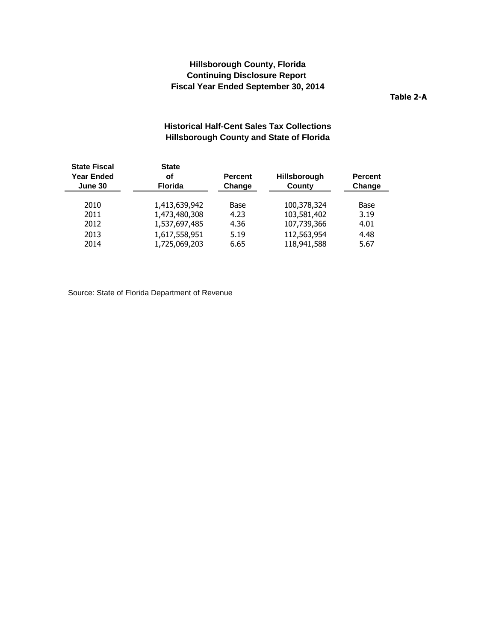**Table 2-A**

# **Historical Half-Cent Sales Tax Collections Hillsborough County and State of Florida**

<span id="page-12-0"></span>

| <b>State Fiscal</b><br><b>State</b><br><b>Year Ended</b><br><b>of</b><br><b>Florida</b><br>June 30 |               | <b>Percent</b><br>Change | <b>Hillsborough</b><br>County | <b>Percent</b><br>Change |
|----------------------------------------------------------------------------------------------------|---------------|--------------------------|-------------------------------|--------------------------|
| 2010                                                                                               | 1,413,639,942 | Base                     | 100,378,324                   | Base                     |
| 2011                                                                                               | 1,473,480,308 | 4.23                     | 103,581,402                   | 3.19                     |
| 2012                                                                                               | 1,537,697,485 | 4.36                     | 107,739,366                   | 4.01                     |
| 2013                                                                                               | 1,617,558,951 | 5.19                     | 112,563,954                   | 4.48                     |
| 2014                                                                                               | 1,725,069,203 | 6.65                     | 118,941,588                   | 5.67                     |
|                                                                                                    |               |                          |                               |                          |

Source: State of Florida Department of Revenue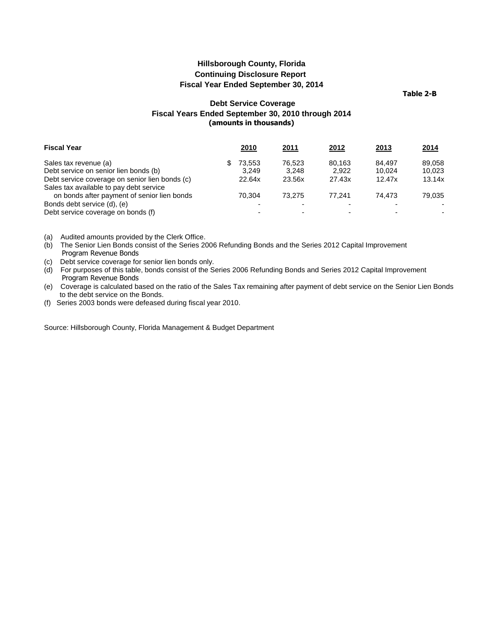**Table 2-B**

## **Debt Service Coverage Fiscal Years Ended September 30, 2010 through 2014 (amounts in thousands)**

<span id="page-13-0"></span>

| <b>Fiscal Year</b>                             | <b>2010</b> | <u> 2011</u> | <u> 2012 </u> | 2013   | <u> 2014 </u> |
|------------------------------------------------|-------------|--------------|---------------|--------|---------------|
| Sales tax revenue (a)                          | 73.553      | 76.523       | 80.163        | 84.497 | 89.058        |
| Debt service on senior lien bonds (b)          | 3.249       | 3.248        | 2.922         | 10.024 | 10.023        |
| Debt service coverage on senior lien bonds (c) | 22.64x      | 23.56x       | 27.43x        | 12.47x | 13.14x        |
| Sales tax available to pay debt service        |             |              |               |        |               |
| on bonds after payment of senior lien bonds    | 70.304      | 73.275       | 77.241        | 74.473 | 79.035        |
| Bonds debt service (d), (e)                    |             |              |               |        |               |
| Debt service coverage on bonds (f)             |             |              |               |        | ۰.            |

(a) Audited amounts provided by the Clerk Office.

- (b) The Senior Lien Bonds consist of the Series 2006 Refunding Bonds and the Series 2012 Capital Improvement Program Revenue Bonds
- (c) Debt service coverage for senior lien bonds only.
- (d) For purposes of this table, bonds consist of the Series 2006 Refunding Bonds and Series 2012 Capital Improvement Program Revenue Bonds
- (e) Coverage is calculated based on the ratio of the Sales Tax remaining after payment of debt service on the Senior Lien Bonds to the debt service on the Bonds.
- (f) Series 2003 bonds were defeased during fiscal year 2010.

Source: Hillsborough County, Florida Management & Budget Department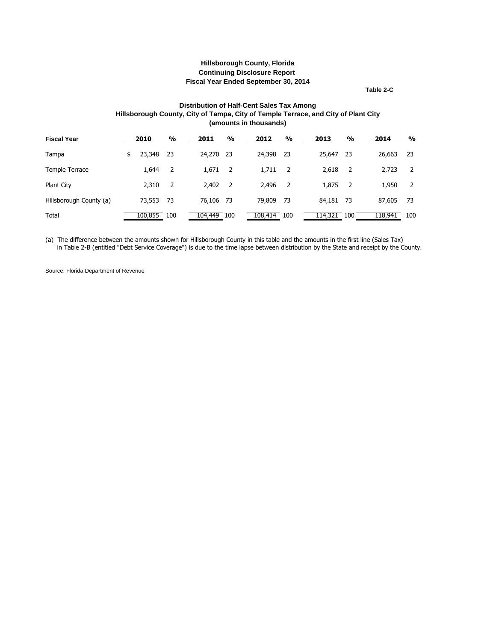**Table 2-C**

#### **Distribution of Half-Cent Sales Tax Among Hillsborough County, City of Tampa, City of Temple Terrace, and City of Plant City (amounts in thousands)**

<span id="page-14-0"></span>

| <b>Fiscal Year</b>      | 2010         | $\frac{9}{6}$ | 2011      | $\frac{9}{0}$ | 2012    | $\frac{0}{0}$ | 2013    | $\frac{0}{0}$ | 2014    |        | $\frac{0}{0}$ |
|-------------------------|--------------|---------------|-----------|---------------|---------|---------------|---------|---------------|---------|--------|---------------|
| Tampa                   | \$<br>23,348 | -23           | 24,270    | - 23          | 24,398  | -23           | 25,647  | -23           |         | 26,663 | -23           |
| Temple Terrace          | 1,644        | -2            | 1,671     | - 2           | 1,711   | - 2           | 2,618   | - 2           |         | 2,723  | 2             |
| Plant City              | 2,310        | 2             | 2,402     | - 2           | 2,496   | -2            | 1,875   | - 2           |         | 1,950  | 2             |
| Hillsborough County (a) | 73,553       | -73           | 76,106 73 |               | 79,809  | -73           | 84,181  | -73           |         | 87,605 | 73            |
| Total                   | 100,855      | 100           | 104,449   | 100           | 108,414 | 100           | 114,321 | 100           | 118,941 |        | 100           |

(a) The difference between the amounts shown for Hillsborough County in this table and the amounts in the first line (Sales Tax) in Table 2-B (entitled "Debt Service Coverage") is due to the time lapse between distribution by the State and receipt by the County.

Source: Florida Department of Revenue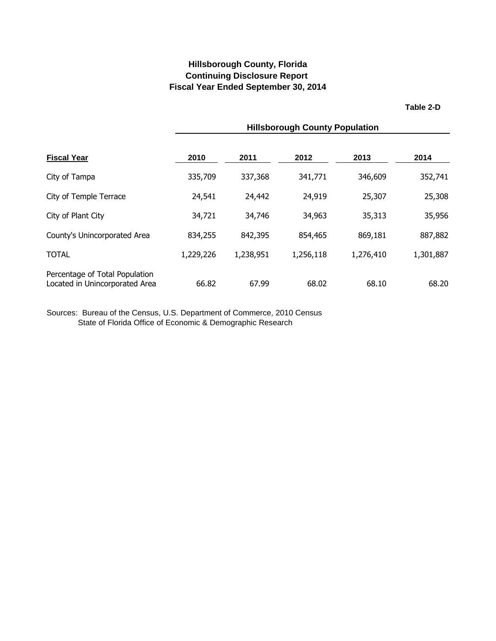**Table 2-D**

<span id="page-15-0"></span>

|                                                                  | <b>Hillsborough County Population</b> |           |           |           |           |  |  |  |
|------------------------------------------------------------------|---------------------------------------|-----------|-----------|-----------|-----------|--|--|--|
| <b>Fiscal Year</b>                                               | 2010                                  | 2011      | 2012      | 2013      | 2014      |  |  |  |
| City of Tampa                                                    | 335,709                               | 337,368   | 341,771   | 346,609   | 352,741   |  |  |  |
| City of Temple Terrace                                           | 24,541                                | 24,442    | 24,919    | 25,307    | 25,308    |  |  |  |
| City of Plant City                                               | 34,721                                | 34,746    | 34,963    | 35,313    | 35,956    |  |  |  |
| County's Unincorporated Area                                     | 834,255                               | 842,395   | 854,465   | 869,181   | 887,882   |  |  |  |
| <b>TOTAL</b>                                                     | 1,229,226                             | 1,238,951 | 1,256,118 | 1,276,410 | 1,301,887 |  |  |  |
| Percentage of Total Population<br>Located in Unincorporated Area | 66.82                                 | 67.99     | 68.02     | 68.10     | 68.20     |  |  |  |

Sources: Bureau of the Census, U.S. Department of Commerce, 2010 Census State of Florida Office of Economic & Demographic Research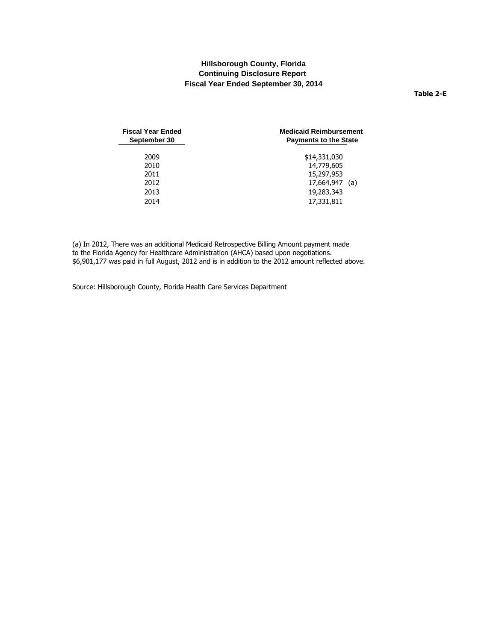#### **Table 2-E**

<span id="page-16-0"></span>

| <b>Fiscal Year Ended</b><br>September 30 | <b>Medicaid Reimbursement</b><br><b>Payments to the State</b> |  |  |
|------------------------------------------|---------------------------------------------------------------|--|--|
| 2009                                     | \$14,331,030                                                  |  |  |
| 2010                                     | 14,779,605                                                    |  |  |
| 2011                                     | 15,297,953                                                    |  |  |
| 2012                                     | 17,664,947 (a)                                                |  |  |
| 2013                                     | 19,283,343                                                    |  |  |
| 2014                                     | 17,331,811                                                    |  |  |

(a) In 2012, There was an additional Medicaid Retrospective Billing Amount payment made to the Florida Agency for Healthcare Administration (AHCA) based upon negotiations. \$6,901,177 was paid in full August, 2012 and is in addition to the 2012 amount reflected above.

Source: Hillsborough County, Florida Health Care Services Department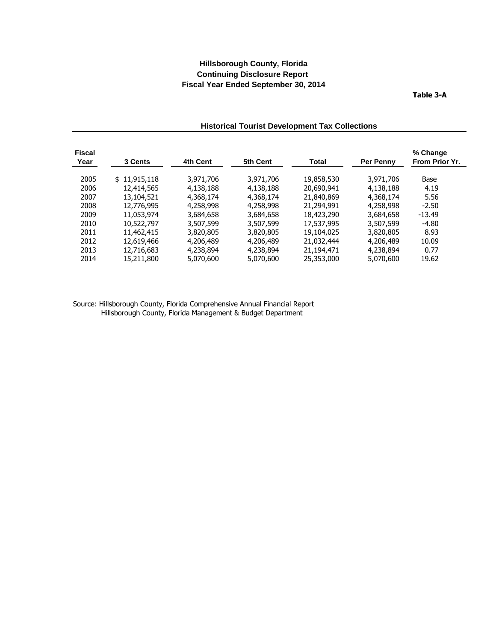**Table 3-A**

| <b>Fiscal</b><br>Year | 3 Cents      | 4th Cent  | 5th Cent  | Total      | <b>Per Penny</b> | % Change<br>From Prior Yr. |
|-----------------------|--------------|-----------|-----------|------------|------------------|----------------------------|
| 2005                  | \$11,915,118 | 3,971,706 | 3,971,706 | 19,858,530 | 3,971,706        | Base                       |
| 2006                  | 12,414,565   | 4,138,188 | 4,138,188 | 20,690,941 | 4,138,188        | 4.19                       |
| 2007                  | 13,104,521   | 4,368,174 | 4,368,174 | 21,840,869 | 4,368,174        | 5.56                       |
| 2008                  | 12,776,995   | 4,258,998 | 4,258,998 | 21,294,991 | 4,258,998        | $-2.50$                    |
| 2009                  | 11,053,974   | 3,684,658 | 3,684,658 | 18,423,290 | 3,684,658        | $-13.49$                   |
| 2010                  | 10,522,797   | 3,507,599 | 3,507,599 | 17,537,995 | 3,507,599        | $-4.80$                    |
| 2011                  | 11,462,415   | 3,820,805 | 3,820,805 | 19,104,025 | 3,820,805        | 8.93                       |
| 2012                  | 12,619,466   | 4,206,489 | 4,206,489 | 21,032,444 | 4,206,489        | 10.09                      |
| 2013                  | 12,716,683   | 4,238,894 | 4,238,894 | 21,194,471 | 4,238,894        | 0.77                       |
| 2014                  | 15,211,800   | 5,070,600 | 5,070,600 | 25,353,000 | 5,070,600        | 19.62                      |

## **Historical Tourist Development Tax Collections**

Source: Hillsborough County, Florida Comprehensive Annual Financial Report Hillsborough County, Florida Management & Budget Department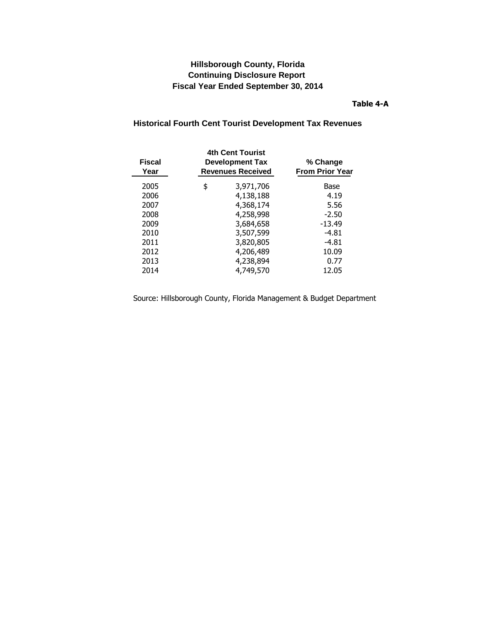## **Table 4-A**

# <span id="page-18-0"></span>**Historical Fourth Cent Tourist Development Tax Revenues**

| <b>Fiscal</b><br>Year | <b>4th Cent Tourist</b><br><b>Development Tax</b><br><b>Revenues Received</b> | % Change<br><b>From Prior Year</b> |
|-----------------------|-------------------------------------------------------------------------------|------------------------------------|
| 2005                  | \$<br>3,971,706                                                               | Base                               |
| 2006                  | 4,138,188                                                                     | 4.19                               |
| 2007                  | 4,368,174                                                                     | 5.56                               |
| 2008                  | 4,258,998                                                                     | $-2.50$                            |
| 2009                  | 3,684,658                                                                     | $-13.49$                           |
| 2010                  | 3,507,599                                                                     | -4.81                              |
| 2011                  | 3,820,805                                                                     | $-4.81$                            |
| 2012                  | 4,206,489                                                                     | 10.09                              |
| 2013                  | 4,238,894                                                                     | 0.77                               |
| 2014                  | 4,749,570                                                                     | 12.05                              |
|                       |                                                                               |                                    |

Source: Hillsborough County, Florida Management & Budget Department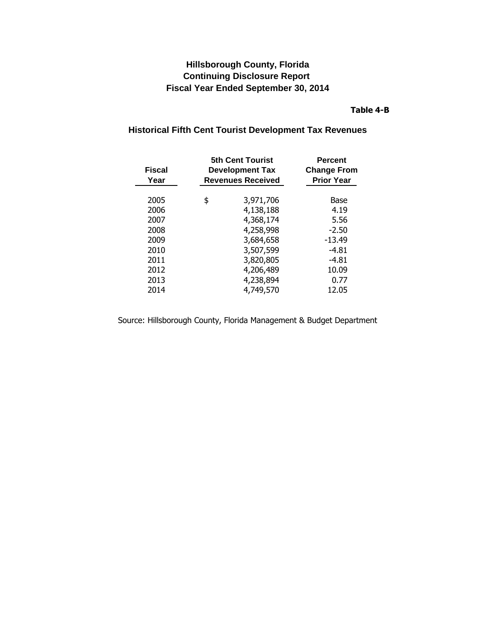## **Table 4-B**

# **5th Cent Tourist Percent Fiscal Development Tax Change From Year Revenues Received Prior Year** 2005 \$ 3,971,706 Base 2006 4,138,188 4.19 2007 4,368,174 5.56 2008 4,258,998 -2.50 2009 3,684,658 -13.49 2010 3,507,599 -4.81 2011 3,820,805 -4.81 2012 4,206,489 10.09 2013 4,238,894 0.77 2014 4,749,570 12.05

## <span id="page-19-0"></span>**Historical Fifth Cent Tourist Development Tax Revenues**

Source: Hillsborough County, Florida Management & Budget Department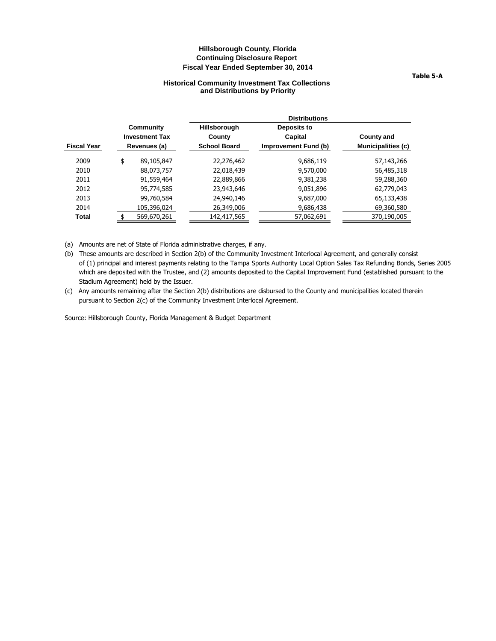#### **Historical Community Investment Tax Collections and Distributions by Priority**

<span id="page-20-0"></span>

|                       | <b>Distributions</b> |                      |                           |  |  |  |
|-----------------------|----------------------|----------------------|---------------------------|--|--|--|
| Community             | <b>Hillsborough</b>  | Deposits to          |                           |  |  |  |
| <b>Investment Tax</b> | County               | Capital              | <b>County and</b>         |  |  |  |
| Revenues (a)          | <b>School Board</b>  | Improvement Fund (b) | <b>Municipalities (c)</b> |  |  |  |
| 89,105,847            | 22,276,462           | 9,686,119            | 57,143,266                |  |  |  |
| 88,073,757            | 22,018,439           | 9,570,000            | 56,485,318                |  |  |  |
| 91,559,464            | 22,889,866           | 9,381,238            | 59,288,360                |  |  |  |
| 95,774,585            | 23,943,646           | 9,051,896            | 62,779,043                |  |  |  |
| 99,760,584            | 24,940,146           | 9,687,000            | 65,133,438                |  |  |  |
| 105,396,024           | 26,349,006           | 9,686,438            | 69,360,580                |  |  |  |
| 569,670,261           | 142,417,565          | 57,062,691           | 370,190,005               |  |  |  |
|                       | \$                   |                      |                           |  |  |  |

(a) Amounts are net of State of Florida administrative charges, if any.

(b) These amounts are described in Section 2(b) of the Community Investment Interlocal Agreement, and generally consist of (1) principal and interest payments relating to the Tampa Sports Authority Local Option Sales Tax Refunding Bonds, Series 2005 which are deposited with the Trustee, and (2) amounts deposited to the Capital Improvement Fund (established pursuant to the Stadium Agreement) held by the Issuer.

(c) Any amounts remaining after the Section 2(b) distributions are disbursed to the County and municipalities located therein pursuant to Section 2(c) of the Community Investment Interlocal Agreement.

Source: Hillsborough County, Florida Management & Budget Department

#### **Table 5-A**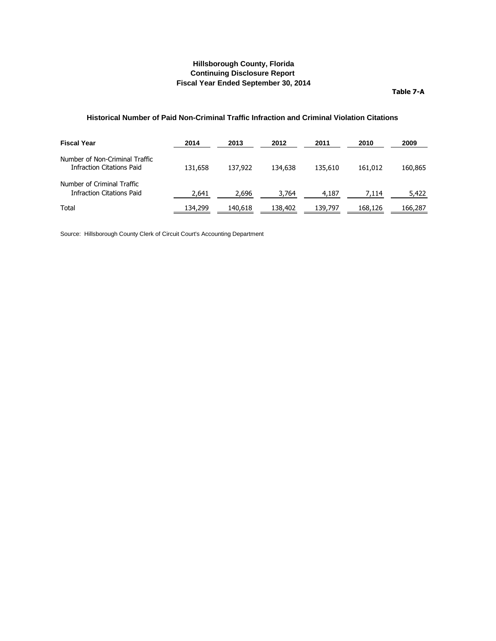**Table 7-A**

#### <span id="page-21-0"></span>**Historical Number of Paid Non-Criminal Traffic Infraction and Criminal Violation Citations**

| <b>Fiscal Year</b>                                             | 2014    | 2013    | 2012    | 2011    | 2010    | 2009    |
|----------------------------------------------------------------|---------|---------|---------|---------|---------|---------|
| Number of Non-Criminal Traffic<br>Infraction Citations Paid    | 131.658 | 137,922 | 134,638 | 135,610 | 161.012 | 160,865 |
| Number of Criminal Traffic<br><b>Infraction Citations Paid</b> | 2,641   | 2,696   | 3,764   | 4,187   | 7,114   | 5,422   |
| Total                                                          | 134,299 | 140,618 | 138,402 | 139,797 | 168,126 | 166,287 |

Source: Hillsborough County Clerk of Circuit Court's Accounting Department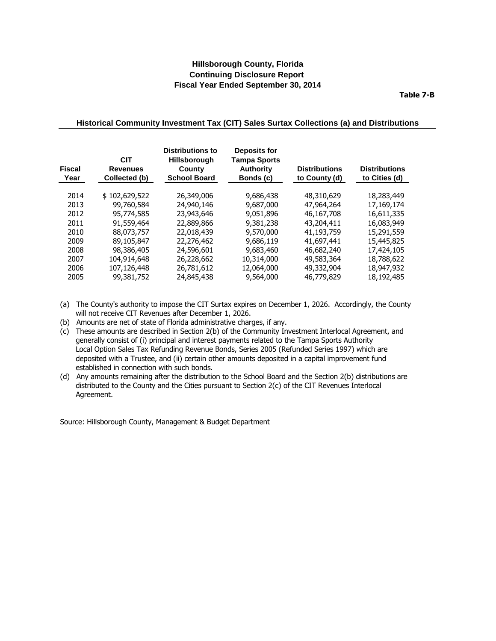**Table 7-B**

#### <span id="page-22-0"></span>**Historical Community Investment Tax (CIT) Sales Surtax Collections (a) and Distributions**

| <b>Fiscal</b><br>Year | <b>CIT</b><br><b>Revenues</b><br>Collected (b) | <b>Distributions to</b><br><b>Hillsborough</b><br>County<br><b>School Board</b> | <b>Deposits for</b><br><b>Tampa Sports</b><br><b>Authority</b><br>Bonds (c) | <b>Distributions</b><br>to County (d) | <b>Distributions</b><br>to Cities (d) |
|-----------------------|------------------------------------------------|---------------------------------------------------------------------------------|-----------------------------------------------------------------------------|---------------------------------------|---------------------------------------|
| 2014                  | \$102,629,522                                  | 26,349,006                                                                      | 9,686,438                                                                   | 48,310,629                            | 18,283,449                            |
| 2013                  | 99,760,584                                     | 24,940,146                                                                      | 9,687,000                                                                   | 47,964,264                            | 17,169,174                            |
| 2012                  | 95,774,585                                     | 23,943,646                                                                      | 9.051.896                                                                   | 46,167,708                            | 16,611,335                            |
| 2011                  | 91,559,464                                     | 22,889,866                                                                      | 9,381,238                                                                   | 43,204,411                            | 16,083,949                            |
| 2010                  | 88,073,757                                     | 22,018,439                                                                      | 9,570,000                                                                   | 41,193,759                            | 15,291,559                            |
| 2009                  | 89,105,847                                     | 22,276,462                                                                      | 9,686,119                                                                   | 41,697,441                            | 15,445,825                            |
| 2008                  | 98,386,405                                     | 24,596,601                                                                      | 9,683,460                                                                   | 46,682,240                            | 17,424,105                            |
| 2007                  | 104,914,648                                    | 26,228,662                                                                      | 10,314,000                                                                  | 49,583,364                            | 18,788,622                            |
| 2006                  | 107,126,448                                    | 26,781,612                                                                      | 12,064,000                                                                  | 49,332,904                            | 18,947,932                            |
| 2005                  | 99,381,752                                     | 24,845,438                                                                      | 9,564,000                                                                   | 46,779,829                            | 18,192,485                            |

- (a) The County's authority to impose the CIT Surtax expires on December 1, 2026. Accordingly, the County will not receive CIT Revenues after December 1, 2026.
- (b) Amounts are net of state of Florida administrative charges, if any.
- (c) These amounts are described in Section 2(b) of the Community Investment Interlocal Agreement, and generally consist of (i) principal and interest payments related to the Tampa Sports Authority Local Option Sales Tax Refunding Revenue Bonds, Series 2005 (Refunded Series 1997) which are deposited with a Trustee, and (ii) certain other amounts deposited in a capital improvement fund established in connection with such bonds.
- (d) Any amounts remaining after the distribution to the School Board and the Section 2(b) distributions are distributed to the County and the Cities pursuant to Section 2(c) of the CIT Revenues Interlocal Agreement.

Source: Hillsborough County, Management & Budget Department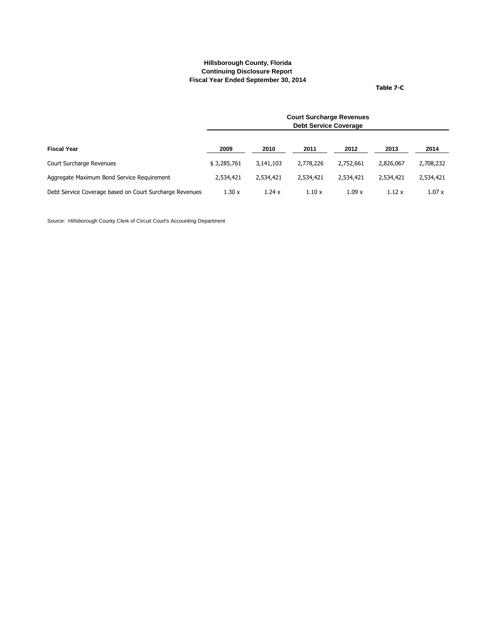**Table 7-C**

<span id="page-23-0"></span>

|                                                         | <b>Court Surcharge Revenues</b><br><b>Debt Service Coverage</b> |           |           |           |           |           |  |
|---------------------------------------------------------|-----------------------------------------------------------------|-----------|-----------|-----------|-----------|-----------|--|
| <b>Fiscal Year</b>                                      | 2009                                                            | 2010      | 2011      | 2012      | 2013      | 2014      |  |
| Court Surcharge Revenues                                | \$3,285,761                                                     | 3,141,103 | 2,778,226 | 2,752,661 | 2,826,067 | 2,708,232 |  |
| Aggregate Maximum Bond Service Reguirement              | 2,534,421                                                       | 2,534,421 | 2,534,421 | 2,534,421 | 2,534,421 | 2,534,421 |  |
| Debt Service Coverage based on Court Surcharge Revenues | 1.30x                                                           | 1.24x     | 1.10x     | 1.09x     | 1.12x     | 1.07x     |  |

Source: Hillsborough County Clerk of Circuit Court's Accounting Department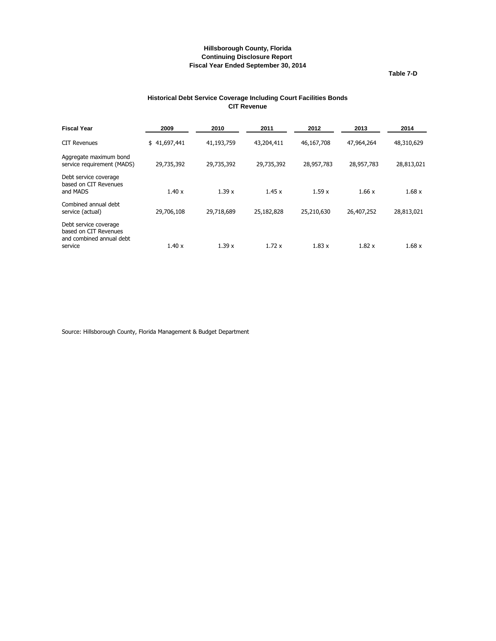**Table 7-D**

#### **Historical Debt Service Coverage Including Court Facilities Bonds CIT Revenue**

<span id="page-24-0"></span>

| 2009         | 2010       | 2011       | 2012       | 2013       | 2014       |
|--------------|------------|------------|------------|------------|------------|
| \$41,697,441 | 41,193,759 | 43,204,411 | 46,167,708 | 47,964,264 | 48,310,629 |
| 29,735,392   | 29,735,392 | 29,735,392 | 28,957,783 | 28,957,783 | 28,813,021 |
| 1.40x        | 1.39 x     | 1.45x      | 1.59x      | 1.66x      | 1.68x      |
| 29,706,108   | 29,718,689 | 25,182,828 | 25,210,630 | 26,407,252 | 28,813,021 |
| 1.40 x       | 1.39x      | 1.72x      | 1.83 x     | 1.82 x     | 1.68x      |
|              |            |            |            |            |            |

Source: Hillsborough County, Florida Management & Budget Department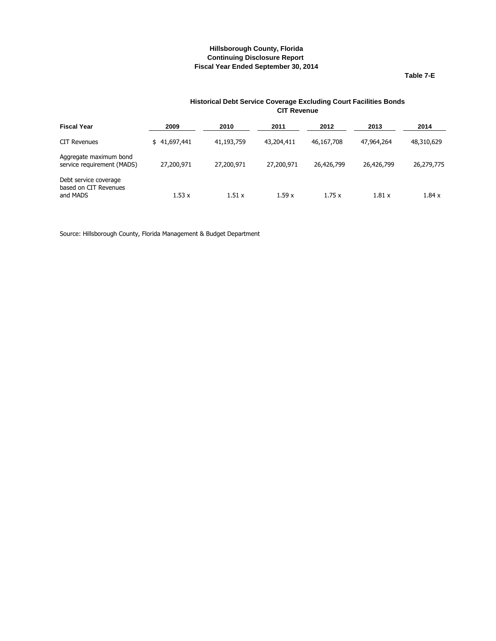**Table 7-E**

#### **Historical Debt Service Coverage Excluding Court Facilities Bonds CIT Revenue**

<span id="page-25-0"></span>

| <b>Fiscal Year</b>                                         | 2009         | 2010       | 2011       | 2012       | 2013       | 2014       |
|------------------------------------------------------------|--------------|------------|------------|------------|------------|------------|
| <b>CIT Revenues</b>                                        | \$41,697,441 | 41,193,759 | 43,204,411 | 46,167,708 | 47,964,264 | 48,310,629 |
| Aggregate maximum bond<br>service requirement (MADS)       | 27,200,971   | 27,200,971 | 27,200,971 | 26,426,799 | 26,426,799 | 26,279,775 |
| Debt service coverage<br>based on CIT Revenues<br>and MADS | 1.53x        | 1.51x      | 1.59x      | 1.75x      | 1.81x      | 1.84x      |

Source: Hillsborough County, Florida Management & Budget Department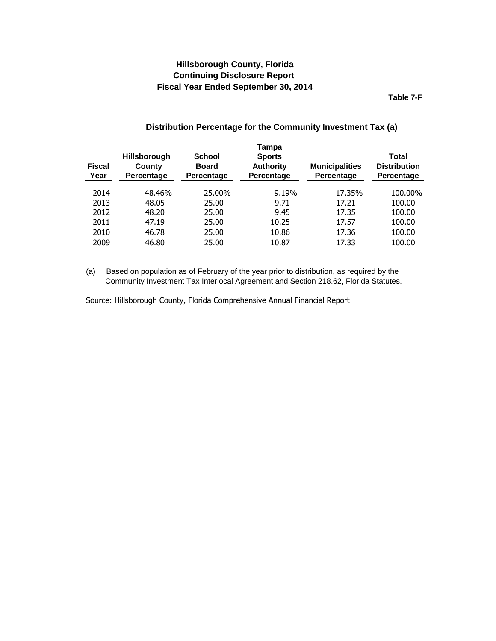**Table 7-F**

| Distribution Percentage for the Community Investment Tax (a) |
|--------------------------------------------------------------|
|                                                              |

<span id="page-26-0"></span>

| <b>Fiscal</b><br>Year | <b>Hillsborough</b><br>County<br>Percentage | <b>School</b><br><b>Board</b><br>Percentage | Tampa<br><b>Sports</b><br><b>Authority</b><br>Percentage | <b>Municipalities</b><br>Percentage | <b>Total</b><br><b>Distribution</b><br>Percentage |
|-----------------------|---------------------------------------------|---------------------------------------------|----------------------------------------------------------|-------------------------------------|---------------------------------------------------|
| 2014                  | 48.46%                                      | 25.00%                                      | 9.19%                                                    | 17.35%                              | 100.00%                                           |
| 2013                  | 48.05                                       | 25.00                                       | 9.71                                                     | 17.21                               | 100.00                                            |
| 2012                  | 48.20                                       | 25.00                                       | 9.45                                                     | 17.35                               | 100.00                                            |
| 2011                  | 47.19                                       | 25.00                                       | 10.25                                                    | 17.57                               | 100.00                                            |
| 2010                  | 46.78                                       | 25.00                                       | 10.86                                                    | 17.36                               | 100.00                                            |
| 2009                  | 46.80                                       | 25.00                                       | 10.87                                                    | 17.33                               | 100.00                                            |

(a) Based on population as of February of the year prior to distribution, as required by the Community Investment Tax Interlocal Agreement and Section 218.62, Florida Statutes.

Source: Hillsborough County, Florida Comprehensive Annual Financial Report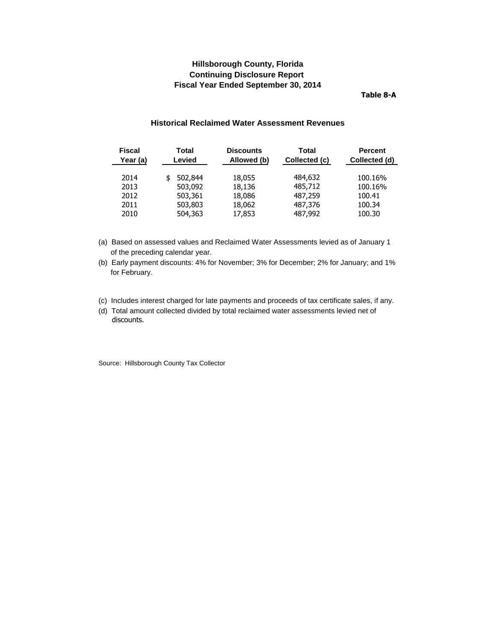**Table 8-A**

#### **Historical Reclaimed Water Assessment Revenues**

<span id="page-27-0"></span>

| <b>Fiscal</b><br>Year (a) | Total<br>Levied | <b>Discounts</b><br>Allowed (b) | Total<br>Collected (c) | Percent<br>Collected (d) |
|---------------------------|-----------------|---------------------------------|------------------------|--------------------------|
| 2014                      | 502,844         | 18,055                          | 484,632                | 100.16%                  |
| 2013                      | 503,092         | 18,136                          | 485,712                | 100.16%                  |
| 2012                      | 503,361         | 18,086                          | 487,259                | 100.41                   |
| 2011                      | 503,803         | 18,062                          | 487,376                | 100.34                   |
| 2010                      | 504,363         | 17,853                          | 487,992                | 100.30                   |

(a) Based on assessed values and Reclaimed Water Assessments levied as of January 1 of the preceding calendar year.

(b) Early payment discounts: 4% for November; 3% for December; 2% for January; and 1% for February.

- (c) Includes interest charged for late payments and proceeds of tax certificate sales, if any.
- (d) Total amount collected divided by total reclaimed water assessments levied net of discounts.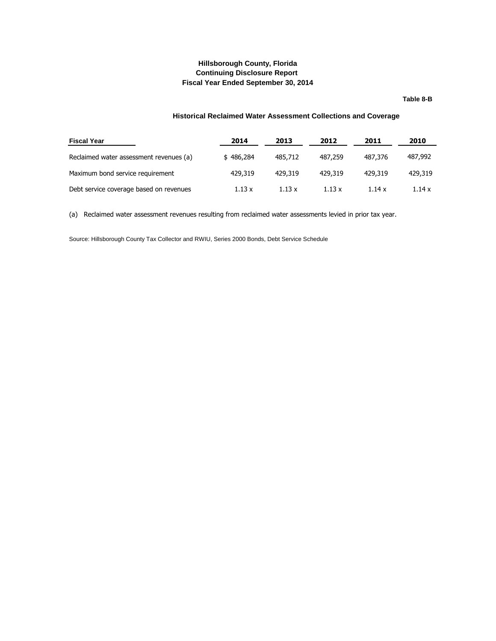#### **Table 8-B**

#### **Historical Reclaimed Water Assessment Collections and Coverage**

<span id="page-28-0"></span>

| <b>Fiscal Year</b>                      | 2014      | 2013    | 2012          | 2011    | 2010    |
|-----------------------------------------|-----------|---------|---------------|---------|---------|
| Reclaimed water assessment revenues (a) | \$486,284 | 485,712 | 487,259       | 487,376 | 487,992 |
| Maximum bond service requirement        | 429,319   | 429.319 | 429.319       | 429.319 | 429,319 |
| Debt service coverage based on revenues | 1.13 x    | 1.13x   | $1.13 \times$ | 1.14x   | 1.14x   |

(a) Reclaimed water assessment revenues resulting from reclaimed water assessments levied in prior tax year.

Source: Hillsborough County Tax Collector and RWIU, Series 2000 Bonds, Debt Service Schedule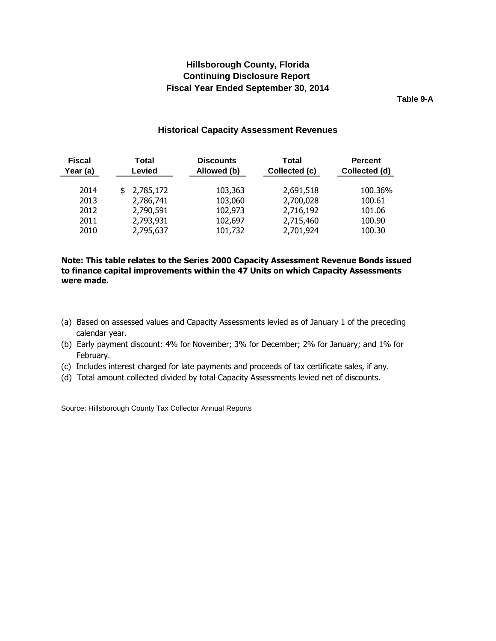**Table 9-A**

## **Historical Capacity Assessment Revenues**

<span id="page-29-0"></span>

| <b>Fiscal</b><br>Year (a) | Total<br><b>Levied</b> | <b>Discounts</b><br>Allowed (b) | Total<br>Collected (c) | <b>Percent</b><br>Collected (d) |
|---------------------------|------------------------|---------------------------------|------------------------|---------------------------------|
| 2014                      | \$2,785,172            | 103,363                         | 2,691,518              | 100.36%                         |
| 2013                      | 2,786,741              | 103,060                         | 2,700,028              | 100.61                          |
| 2012                      | 2,790,591              | 102,973                         | 2,716,192              | 101.06                          |
| 2011                      | 2,793,931              | 102,697                         | 2,715,460              | 100.90                          |
| 2010                      | 2,795,637              | 101,732                         | 2,701,924              | 100.30                          |

## **Note: This table relates to the Series 2000 Capacity Assessment Revenue Bonds issued to finance capital improvements within the 47 Units on which Capacity Assessments were made.**

- (a) Based on assessed values and Capacity Assessments levied as of January 1 of the preceding calendar year.
- (b) Early payment discount: 4% for November; 3% for December; 2% for January; and 1% for February.
- (c) Includes interest charged for late payments and proceeds of tax certificate sales, if any.
- (d) Total amount collected divided by total Capacity Assessments levied net of discounts.

Source: Hillsborough County Tax Collector Annual Reports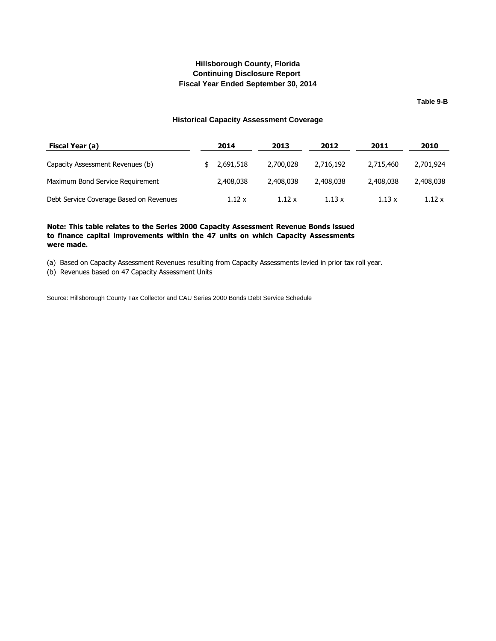**Table 9-B**

#### **Historical Capacity Assessment Coverage**

<span id="page-30-0"></span>

| Fiscal Year (a)                         | 2014        | 2013          | 2012          | 2011          | 2010      |
|-----------------------------------------|-------------|---------------|---------------|---------------|-----------|
| Capacity Assessment Revenues (b)        | \$2,691,518 | 2,700,028     | 2,716,192     | 2,715,460     | 2,701,924 |
| Maximum Bond Service Requirement        | 2,408,038   | 2,408,038     | 2,408,038     | 2,408,038     | 2,408,038 |
| Debt Service Coverage Based on Revenues | 1.12 x      | $1.12 \times$ | $1.13 \times$ | $1.13 \times$ | 1.12 x    |

#### **Note: This table relates to the Series 2000 Capacity Assessment Revenue Bonds issued to finance capital improvements within the 47 units on which Capacity Assessments were made.**

(a) Based on Capacity Assessment Revenues resulting from Capacity Assessments levied in prior tax roll year.

(b) Revenues based on 47 Capacity Assessment Units

Source: Hillsborough County Tax Collector and CAU Series 2000 Bonds Debt Service Schedule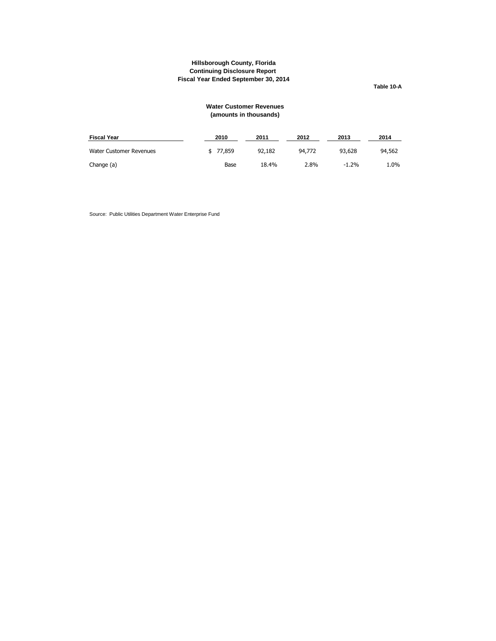**Table 10-A**

#### **Water Customer Revenues (amounts in thousands)**

<span id="page-31-0"></span>

| <b>Fiscal Year</b>      | 2010     | 2011   | 2012   | 2013    | 2014   |
|-------------------------|----------|--------|--------|---------|--------|
| Water Customer Revenues | \$77.859 | 92,182 | 94,772 | 93,628  | 94,562 |
| Change (a)              | Base     | 18.4%  | 2.8%   | $-1.2%$ | 1.0%   |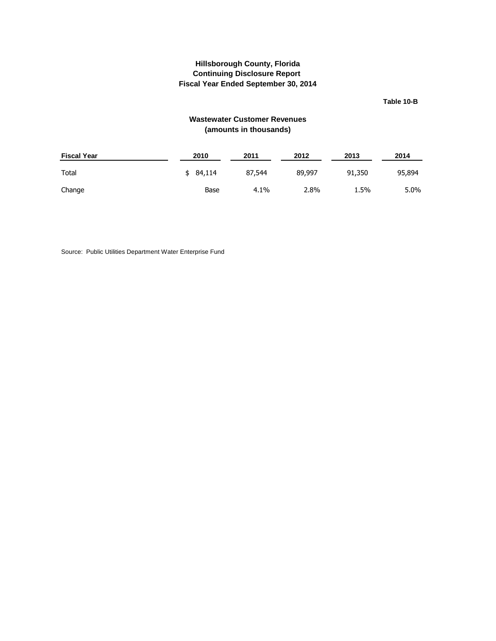**Table 10-B**

## **Wastewater Customer Revenues (amounts in thousands)**

<span id="page-32-0"></span>

| <b>Fiscal Year</b> | 2010     | 2011   | 2012   | 2013   | 2014   |
|--------------------|----------|--------|--------|--------|--------|
| Total              | \$84.114 | 87,544 | 89,997 | 91,350 | 95,894 |
| Change             | Base     | 4.1%   | 2.8%   | 1.5%   | 5.0%   |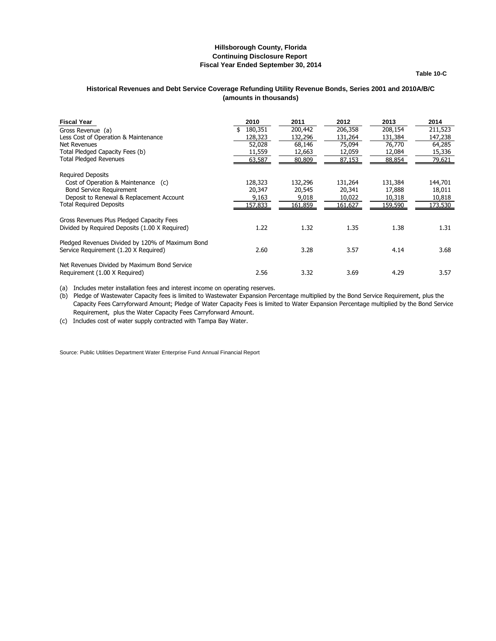**Table 10-C**

#### <span id="page-33-0"></span>**Historical Revenues and Debt Service Coverage Refunding Utility Revenue Bonds, Series 2001 and 2010A/B/C (amounts in thousands)**

| <b>Fiscal Year</b>                               | 2010    | 2011    | 2012    | 2013    | 2014    |
|--------------------------------------------------|---------|---------|---------|---------|---------|
| Gross Revenue (a)                                | 180,351 | 200,442 | 206,358 | 208,154 | 211,523 |
| Less Cost of Operation & Maintenance             | 128,323 | 132,296 | 131,264 | 131,384 | 147,238 |
| Net Revenues                                     | 52,028  | 68,146  | 75,094  | 76,770  | 64,285  |
| Total Pledged Capacity Fees (b)                  | 11,559  | 12,663  | 12,059  | 12,084  | 15,336  |
| <b>Total Pledged Revenues</b>                    | 63,587  | 80,809  | 87,153  | 88,854  | 79,621  |
| <b>Required Deposits</b>                         |         |         |         |         |         |
| Cost of Operation & Maintenance (c)              | 128,323 | 132,296 | 131,264 | 131,384 | 144,701 |
| <b>Bond Service Requirement</b>                  | 20,347  | 20,545  | 20,341  | 17,888  | 18,011  |
| Deposit to Renewal & Replacement Account         | 9,163   | 9,018   | 10,022  | 10,318  | 10,818  |
| <b>Total Required Deposits</b>                   | 157,833 | 161,859 | 161,627 | 159,590 | 173,530 |
| Gross Revenues Plus Pledged Capacity Fees        |         |         |         |         |         |
| Divided by Required Deposits (1.00 X Required)   | 1.22    | 1.32    | 1.35    | 1.38    | 1.31    |
| Pledged Revenues Divided by 120% of Maximum Bond |         |         |         |         |         |
| Service Requirement (1.20 X Required)            | 2.60    | 3.28    | 3.57    | 4.14    | 3.68    |
| Net Revenues Divided by Maximum Bond Service     |         |         |         |         |         |
| Requirement (1.00 X Required)                    | 2.56    | 3.32    | 3.69    | 4.29    | 3.57    |

(a) Includes meter installation fees and interest income on operating reserves.

(b) Pledge of Wastewater Capacity fees is limited to Wastewater Expansion Percentage multiplied by the Bond Service Requirement, plus the Capacity Fees Carryforward Amount; Pledge of Water Capacity Fees is limited to Water Expansion Percentage multiplied by the Bond Service Requirement, plus the Water Capacity Fees Carryforward Amount.

(c) Includes cost of water supply contracted with Tampa Bay Water.

Source: Public Utilities Department Water Enterprise Fund Annual Financial Report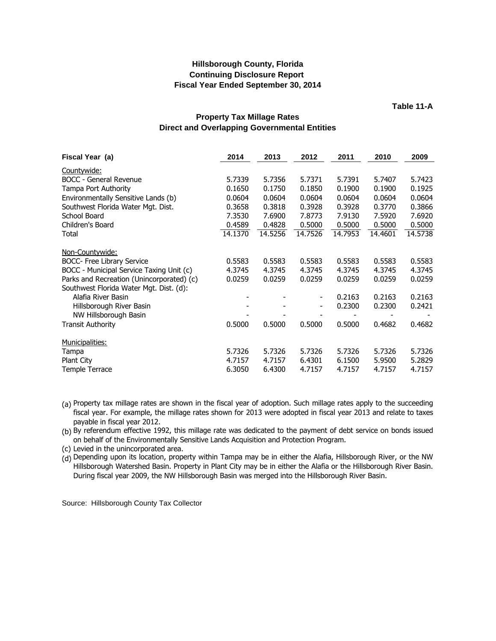**Table 11-A**

## **Property Tax Millage Rates Direct and Overlapping Governmental Entities**

<span id="page-34-0"></span>

| Fiscal Year (a)                           | 2014    | 2013    | 2012                     | 2011    | 2010    | 2009    |
|-------------------------------------------|---------|---------|--------------------------|---------|---------|---------|
| Countywide:                               |         |         |                          |         |         |         |
| <b>BOCC</b> - General Revenue             | 5.7339  | 5.7356  | 5.7371                   | 5.7391  | 5.7407  | 5.7423  |
| Tampa Port Authority                      | 0.1650  | 0.1750  | 0.1850                   | 0.1900  | 0.1900  | 0.1925  |
| Environmentally Sensitive Lands (b)       | 0.0604  | 0.0604  | 0.0604                   | 0.0604  | 0.0604  | 0.0604  |
| Southwest Florida Water Mgt. Dist.        | 0.3658  | 0.3818  | 0.3928                   | 0.3928  | 0.3770  | 0.3866  |
| School Board                              | 7.3530  | 7.6900  | 7.8773                   | 7.9130  | 7.5920  | 7.6920  |
| Children's Board                          | 0.4589  | 0.4828  | 0.5000                   | 0.5000  | 0.5000  | 0.5000  |
| Total                                     | 14.1370 | 14.5256 | 14.7526                  | 14.7953 | 14.4601 | 14.5738 |
| Non-Countywide:                           |         |         |                          |         |         |         |
| <b>BOCC- Free Library Service</b>         | 0.5583  | 0.5583  | 0.5583                   | 0.5583  | 0.5583  | 0.5583  |
| BOCC - Municipal Service Taxing Unit (c)  | 4.3745  | 4.3745  | 4.3745                   | 4.3745  | 4.3745  | 4.3745  |
| Parks and Recreation (Unincorporated) (c) | 0.0259  | 0.0259  | 0.0259                   | 0.0259  | 0.0259  | 0.0259  |
| Southwest Florida Water Mgt. Dist. (d):   |         |         |                          |         |         |         |
| Alafia River Basin                        |         |         | $\overline{\phantom{a}}$ | 0.2163  | 0.2163  | 0.2163  |
| Hillsborough River Basin                  |         |         | $\overline{\phantom{0}}$ | 0.2300  | 0.2300  | 0.2421  |
| NW Hillsborough Basin                     |         |         |                          |         |         |         |
| <b>Transit Authority</b>                  | 0.5000  | 0.5000  | 0.5000                   | 0.5000  | 0.4682  | 0.4682  |
| Municipalities:                           |         |         |                          |         |         |         |
| Tampa                                     | 5.7326  | 5.7326  | 5.7326                   | 5.7326  | 5.7326  | 5.7326  |
| Plant City                                | 4.7157  | 4.7157  | 6.4301                   | 6.1500  | 5.9500  | 5.2829  |
| Temple Terrace                            | 6.3050  | 6.4300  | 4.7157                   | 4.7157  | 4.7157  | 4.7157  |

(a) Property tax millage rates are shown in the fiscal year of adoption. Such millage rates apply to the succeeding fiscal year. For example, the millage rates shown for 2013 were adopted in fiscal year 2013 and relate to taxes payable in fiscal year 2012.

(b) By referendum effective 1992, this millage rate was dedicated to the payment of debt service on bonds issued on behalf of the Environmentally Sensitive Lands Acquisition and Protection Program.

(c) Levied in the unincorporated area.

(d) Depending upon its location, property within Tampa may be in either the Alafia, Hillsborough River, or the NW Hillsborough Watershed Basin. Property in Plant City may be in either the Alafia or the Hillsborough River Basin. During fiscal year 2009, the NW Hillsborough Basin was merged into the Hillsborough River Basin.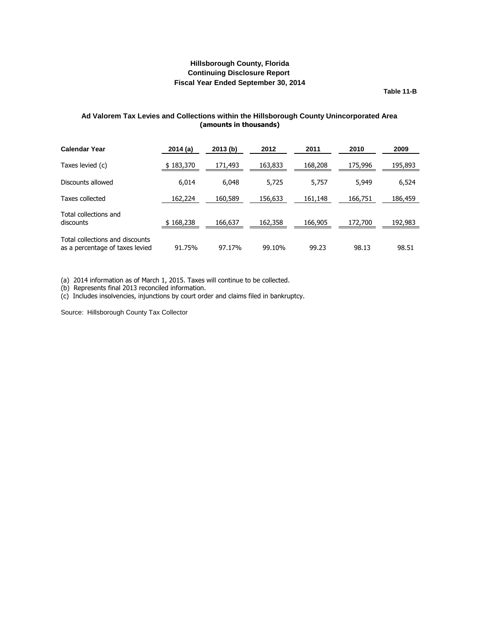**Table 11-B**

### <span id="page-35-0"></span>**Ad Valorem Tax Levies and Collections within the Hillsborough County Unincorporated Area (amounts in thousands)**

| <b>Calendar Year</b>                                               | 2014(a)   | 2013(b) | 2012    | 2011    | 2010    | 2009    |
|--------------------------------------------------------------------|-----------|---------|---------|---------|---------|---------|
| Taxes levied (c)                                                   | \$183,370 | 171,493 | 163,833 | 168,208 | 175,996 | 195,893 |
| Discounts allowed                                                  | 6,014     | 6,048   | 5,725   | 5,757   | 5,949   | 6,524   |
| Taxes collected                                                    | 162,224   | 160,589 | 156,633 | 161,148 | 166,751 | 186,459 |
| Total collections and<br>discounts                                 | \$168,238 | 166,637 | 162,358 | 166,905 | 172,700 | 192,983 |
| Total collections and discounts<br>as a percentage of taxes levied | 91.75%    | 97.17%  | 99.10%  | 99.23   | 98.13   | 98.51   |

(a) 2014 information as of March 1, 2015. Taxes will continue to be collected.

(b) Represents final 2013 reconciled information.

(c) Includes insolvencies, injunctions by court order and claims filed in bankruptcy.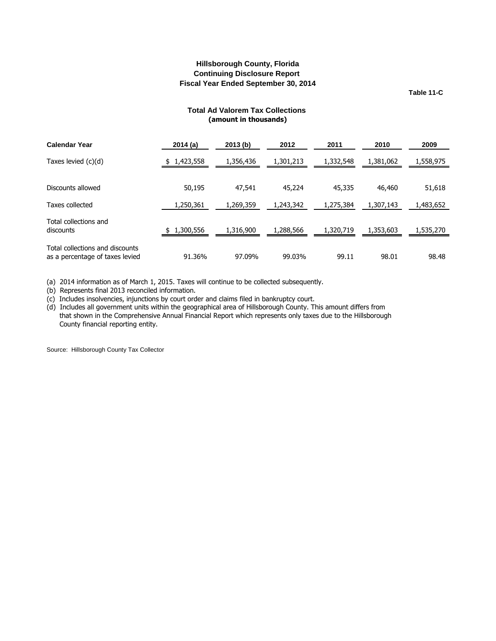**Table 11-C**

## **Total Ad Valorem Tax Collections (amount in thousands)**

<span id="page-36-0"></span>

| <b>Calendar Year</b>                                               | 2014 (a)  | 2013(b)   | 2012      | 2011      | 2010      | 2009      |
|--------------------------------------------------------------------|-----------|-----------|-----------|-----------|-----------|-----------|
| Taxes levied (c)(d)                                                | 1,423,558 | 1,356,436 | 1,301,213 | 1,332,548 | 1,381,062 | 1,558,975 |
|                                                                    |           |           |           |           |           |           |
| Discounts allowed                                                  | 50,195    | 47,541    | 45,224    | 45,335    | 46,460    | 51,618    |
| Taxes collected                                                    | 1,250,361 | 1,269,359 | 1,243,342 | 1,275,384 | 1,307,143 | 1,483,652 |
| Total collections and<br>discounts                                 | 1,300,556 | 1,316,900 | 1,288,566 | 1,320,719 | 1,353,603 | 1,535,270 |
| Total collections and discounts<br>as a percentage of taxes levied | 91.36%    | 97.09%    | 99.03%    | 99.11     | 98.01     | 98.48     |

(a) 2014 information as of March 1, 2015. Taxes will continue to be collected subsequently.

(b) Represents final 2013 reconciled information.

(c) Includes insolvencies, injunctions by court order and claims filed in bankruptcy court.

(d) Includes all government units within the geographical area of Hillsborough County. This amount differs from that shown in the Comprehensive Annual Financial Report which represents only taxes due to the Hillsborough County financial reporting entity.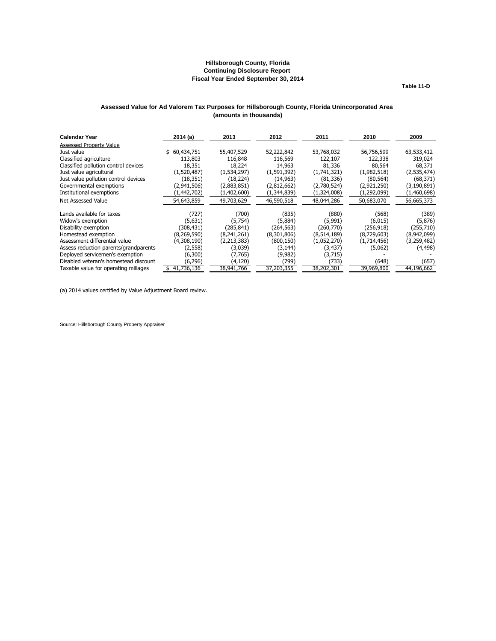**Table 11-D**

#### <span id="page-37-0"></span>**Assessed Value for Ad Valorem Tax Purposes for Hillsborough County, Florida Unincorporated Area (amounts in thousands)**

| <b>Calendar Year</b>                  | 2014(a)          | 2013        | 2012        | 2011        | 2010        | 2009          |
|---------------------------------------|------------------|-------------|-------------|-------------|-------------|---------------|
| <b>Assessed Property Value</b>        |                  |             |             |             |             |               |
| Just value                            | 60,434,751<br>\$ | 55,407,529  | 52,222,842  | 53,768,032  | 56,756,599  | 63,533,412    |
| Classified agriculture                | 113,803          | 116,848     | 116,569     | 122,107     | 122,338     | 319,024       |
| Classified pollution control devices  | 18,351           | 18,224      | 14,963      | 81,336      | 80,564      | 68,371        |
| Just value agricultural               | (1,520,487)      | (1,534,297) | (1,591,392) | (1,741,321) | (1,982,518) | (2,535,474)   |
| Just value pollution control devices  | (18, 351)        | (18, 224)   | (14, 963)   | (81, 336)   | (80, 564)   | (68, 371)     |
| Governmental exemptions               | (2,941,506)      | (2,883,851) | (2,812,662) | (2,780,524) | (2,921,250) | (3, 190, 891) |
| Institutional exemptions              | (1,442,702)      | (1,402,600) | (1,344,839) | (1,324,008) | (1,292,099) | (1,460,698)   |
| Net Assessed Value                    | 54,643,859       | 49,703,629  | 46,590,518  | 48,044,286  | 50,683,070  | 56,665,373    |
| Lands available for taxes             | (727)            | (700)       | (835)       | (880)       | (568)       | (389)         |
| Widow's exemption                     | (5,631)          | (5,754)     | (5,884)     | (5,991)     | (6,015)     | (5,876)       |
| Disability exemption                  | (308,431)        | (285,841)   | (264, 563)  | (260,770)   | (256, 918)  | (255, 710)    |
| Homestead exemption                   | (8,269,590)      | (8,241,261) | (8,301,806) | (8,514,189) | (8,729,603) | (8,942,099)   |
| Assessment differential value         | (4,308,190)      | (2,213,383) | (800, 150)  | (1,052,270) | (1,714,456) | (3,259,482)   |
| Assess reduction parents/grandparents | (2,558)          | (3,039)     | (3,144)     | (3, 437)    | (5,062)     | (4, 498)      |
| Deployed servicemen's exemption       | (6,300)          | (7,765)     | (9,982)     | (3,715)     |             |               |
| Disabled veteran's homestead discount | (6,296)          | (4,120)     | (799)       | (733)       | (648)       | (657)         |
| Taxable value for operating millages  | 41,736,136       | 38,941,766  | 37,203,355  | 38,202,301  | 39,969,800  | 44,196,662    |

(a) 2014 values certified by Value Adjustment Board review.

Source: Hillsborough County Property Appraiser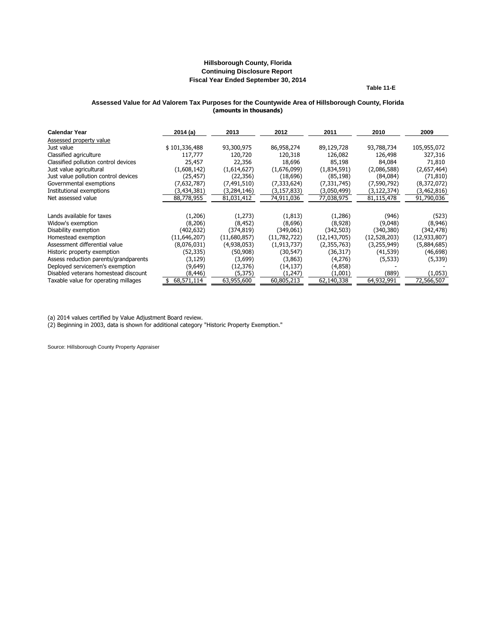**Table 11-E**

#### <span id="page-38-0"></span>**(amounts in thousands) Assessed Value for Ad Valorem Tax Purposes for the Countywide Area of Hillsborough County, Florida**

| <b>Calendar Year</b>                  | 2014(a)       | 2013          | 2012          | 2011           | 2010         | 2009           |
|---------------------------------------|---------------|---------------|---------------|----------------|--------------|----------------|
| Assessed property value               |               |               |               |                |              |                |
| Just value                            | \$101,336,488 | 93,300,975    | 86,958,274    | 89,129,728     | 93,788,734   | 105,955,072    |
| Classified agriculture                | 117,777       | 120,720       | 120,318       | 126,082        | 126,498      | 327,316        |
| Classified pollution control devices  | 25,457        | 22,356        | 18,696        | 85,198         | 84,084       | 71,810         |
| Just value agricultural               | (1,608,142)   | (1,614,627)   | (1,676,099)   | (1,834,591)    | (2,086,588)  | (2,657,464)    |
| Just value pollution control devices  | (25, 457)     | (22, 356)     | (18,696)      | (85, 198)      | (84,084)     | (71, 810)      |
| Governmental exemptions               | (7,632,787)   | (7, 491, 510) | (7, 333, 624) | (7, 331, 745)  | (7,590,792)  | (8,372,072)    |
| Institutional exemptions              | (3,434,381)   | (3,284,146)   | (3, 157, 833) | (3,050,499)    | (3,122,374)  | (3,462,816)    |
| Net assessed value                    | 88,778,955    | 81,031,412    | 74,911,036    | 77,038,975     | 81,115,478   | 91,790,036     |
|                                       |               |               |               |                |              |                |
| Lands available for taxes             | (1,206)       | (1,273)       | (1, 813)      | (1,286)        | (946)        | (523)          |
| Widow's exemption                     | (8,206)       | (8, 452)      | (8,696)       | (8,928)        | (9,048)      | (8,946)        |
| Disability exemption                  | (402, 632)    | (374, 819)    | (349,061)     | (342, 503)     | (340, 380)   | (342, 478)     |
| Homestead exemption                   | (11,646,207)  | (11,680,857)  | (11,782,722)  | (12, 143, 705) | (12,528,203) | (12, 933, 807) |
| Assessment differential value         | (8,076,031)   | (4,938,053)   | (1, 913, 737) | (2,355,763)    | (3,255,949)  | (5,884,685)    |
| Historic property exemption           | (52, 335)     | (50, 908)     | (30, 547)     | (36, 317)      | (41, 539)    | (46, 698)      |
| Assess reduction parents/grandparents | (3, 129)      | (3,699)       | (3,863)       | (4,276)        | (5, 533)     | (5,339)        |
| Deployed servicemen's exemption       | (9,649)       | (12, 376)     | (14, 137)     | (4,858)        |              |                |
| Disabled veterans homestead discount  | (8, 446)      | (5, 375)      | (1,247)       | (1,001)        | (889)        | (1,053)        |
| Taxable value for operating millages  | 68,571,114    | 63,955,600    | 60,805,213    | 62,140,338     | 64,932,991   | 72,566,507     |

(a) 2014 values certified by Value Adjustment Board review.

(2) Beginning in 2003, data is shown for additional category "Historic Property Exemption."

Source: Hillsborough County Property Appraiser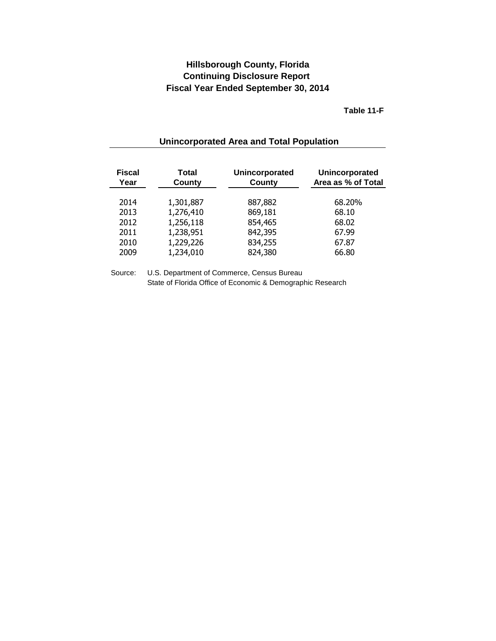**Table 11-F**

<span id="page-39-0"></span>

| <b>Fiscal</b><br>Year | Total<br>County | Unincorporated<br>County | Unincorporated<br>Area as % of Total |
|-----------------------|-----------------|--------------------------|--------------------------------------|
| 2014                  | 1,301,887       | 887,882                  | 68.20%                               |
| 2013                  | 1,276,410       | 869,181                  | 68.10                                |
| 2012                  | 1,256,118       | 854,465                  | 68.02                                |
| 2011                  | 1,238,951       | 842,395                  | 67.99                                |
| 2010                  | 1,229,226       | 834,255                  | 67.87                                |
| 2009                  | 1,234,010       | 824,380                  | 66.80                                |
|                       |                 |                          |                                      |

# **Unincorporated Area and Total Population**

Source: U.S. Department of Commerce, Census Bureau State of Florida Office of Economic & Demographic Research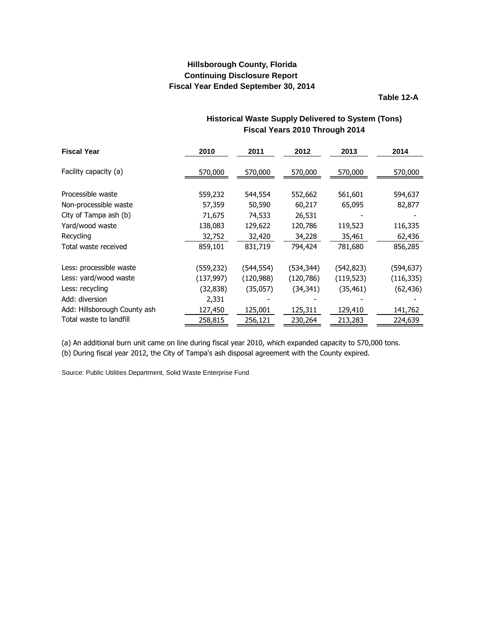**Table 12-A**

<span id="page-40-0"></span>

| <b>Fiscal Year</b>           | 2010       | 2011       | 2012       | 2013       | 2014       |
|------------------------------|------------|------------|------------|------------|------------|
| Facility capacity (a)        | 570,000    | 570,000    | 570,000    | 570,000    | 570,000    |
| Processible waste            | 559,232    | 544,554    | 552,662    | 561,601    | 594,637    |
| Non-processible waste        | 57,359     | 50,590     | 60,217     | 65,095     | 82,877     |
| City of Tampa ash (b)        | 71,675     | 74,533     | 26,531     |            |            |
| Yard/wood waste              | 138,083    | 129,622    | 120,786    | 119,523    | 116,335    |
| Recycling                    | 32,752     | 32,420     | 34,228     | 35,461     | 62,436     |
| Total waste received         | 859,101    | 831,719    | 794,424    | 781,680    | 856,285    |
| Less: processible waste      | (559,232)  | (544,554)  | (534, 344) | (542, 823) | (594,637)  |
| Less: yard/wood waste        | (137, 997) | (120, 988) | (120, 786) | (119, 523) | (116, 335) |
| Less: recycling              | (32,838)   | (35,057)   | (34, 341)  | (35, 461)  | (62, 436)  |
| Add: diversion               | 2,331      |            |            |            |            |
| Add: Hillsborough County ash | 127,450    | 125,001    | 125,311    | 129,410    | 141,762    |
| Total waste to landfill      | 258,815    | 256,121    | 230,264    | 213,283    | 224,639    |

# **Historical Waste Supply Delivered to System (Tons) Fiscal Years 2010 Through 2014**

(a) An additional burn unit came on line during fiscal year 2010, which expanded capacity to 570,000 tons.

(b) During fiscal year 2012, the City of Tampa's ash disposal agreement with the County expired.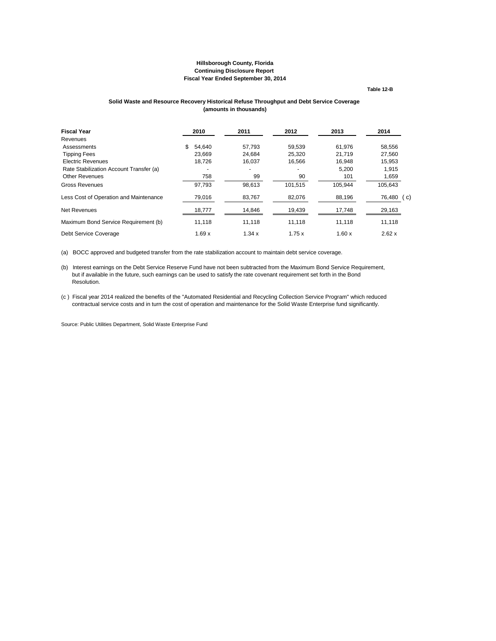**Table 12-B**

#### **Solid Waste and Resource Recovery Historical Refuse Throughput and Debt Service Coverage (amounts in thousands)**

<span id="page-41-0"></span>

| <b>Fiscal Year</b>                      | 2010         | 2011   | 2012    | 2013    | 2014           |
|-----------------------------------------|--------------|--------|---------|---------|----------------|
| Revenues                                |              |        |         |         |                |
| Assessments                             | \$<br>54.640 | 57.793 | 59.539  | 61.976  | 58.556         |
| <b>Tipping Fees</b>                     | 23.669       | 24.684 | 25.320  | 21.719  | 27.560         |
| <b>Electric Revenues</b>                | 18.726       | 16,037 | 16,566  | 16.948  | 15.953         |
| Rate Stabilization Account Transfer (a) |              |        |         | 5,200   | 1,915          |
| <b>Other Revenues</b>                   | 758          | 99     | 90      | 101     | 1,659          |
| Gross Revenues                          | 97,793       | 98.613 | 101,515 | 105.944 | 105.643        |
| Less Cost of Operation and Maintenance  | 79,016       | 83,767 | 82,076  | 88,196  | 76,480<br>( c) |
| Net Revenues                            | 18,777       | 14,846 | 19,439  | 17,748  | 29,163         |
| Maximum Bond Service Requirement (b)    | 11.118       | 11,118 | 11,118  | 11.118  | 11,118         |
| Debt Service Coverage                   | 1.69x        | 1.34x  | 1.75x   | 1.60x   | 2.62x          |

(a) BOCC approved and budgeted transfer from the rate stabilization account to maintain debt service coverage.

(b) Interest earnings on the Debt Service Reserve Fund have not been subtracted from the Maximum Bond Service Requirement, but if available in the future, such earnings can be used to satisfy the rate covenant requirement set forth in the Bond Resolution.

(c ) Fiscal year 2014 realized the benefits of the "Automated Residential and Recycling Collection Service Program" which reduced contractual service costs and in turn the cost of operation and maintenance for the Solid Waste Enterprise fund significantly.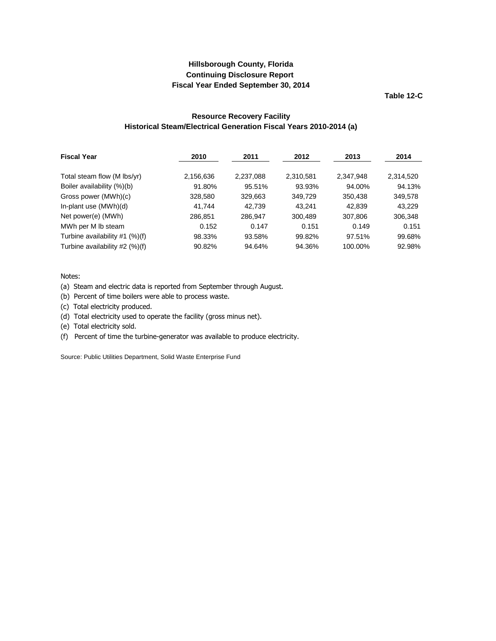**Table 12-C**

## **Resource Recovery Facility Historical Steam/Electrical Generation Fiscal Years 2010-2014 (a)**

<span id="page-42-0"></span>

| <b>Fiscal Year</b>               | 2010      | 2011      | 2012      | 2013      | 2014      |
|----------------------------------|-----------|-----------|-----------|-----------|-----------|
| Total steam flow (M lbs/yr)      | 2,156,636 | 2,237,088 | 2,310,581 | 2,347,948 | 2,314,520 |
| Boiler availability (%)(b)       | 91.80%    | 95.51%    | 93.93%    | 94.00%    | 94.13%    |
| Gross power (MWh)(c)             | 328,580   | 329,663   | 349.729   | 350,438   | 349,578   |
| In-plant use (MWh)(d)            | 41.744    | 42.739    | 43.241    | 42,839    | 43,229    |
| Net power(e) (MWh)               | 286.851   | 286.947   | 300.489   | 307.806   | 306,348   |
| MWh per M lb steam               | 0.152     | 0.147     | 0.151     | 0.149     | 0.151     |
| Turbine availability $#1$ (%)(f) | 98.33%    | 93.58%    | 99.82%    | 97.51%    | 99.68%    |
| Turbine availability #2 (%)(f)   | 90.82%    | 94.64%    | 94.36%    | 100.00%   | 92.98%    |

#### Notes:

(a) Steam and electric data is reported from September through August.

(b) Percent of time boilers were able to process waste.

(c) Total electricity produced.

(d) Total electricity used to operate the facility (gross minus net).

(e) Total electricity sold.

(f) Percent of time the turbine-generator was available to produce electricity.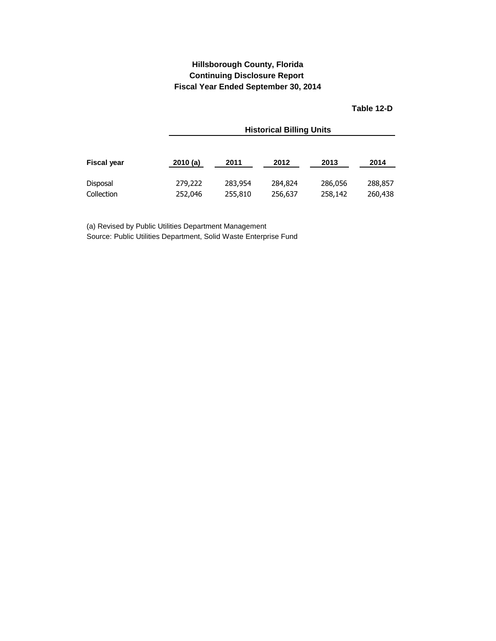**Table 12-D**

<span id="page-43-0"></span>

|                    |         | <b>Historical Billing Units</b> |         |         |         |  |  |  |  |  |
|--------------------|---------|---------------------------------|---------|---------|---------|--|--|--|--|--|
| <b>Fiscal year</b> | 2010(a) | 2011                            | 2012    | 2013    | 2014    |  |  |  |  |  |
| Disposal           | 279,222 | 283,954                         | 284,824 | 286,056 | 288,857 |  |  |  |  |  |
| Collection         | 252,046 | 255,810                         | 256,637 | 258,142 | 260,438 |  |  |  |  |  |

(a) Revised by Public Utilities Department Management Source: Public Utilities Department, Solid Waste Enterprise Fund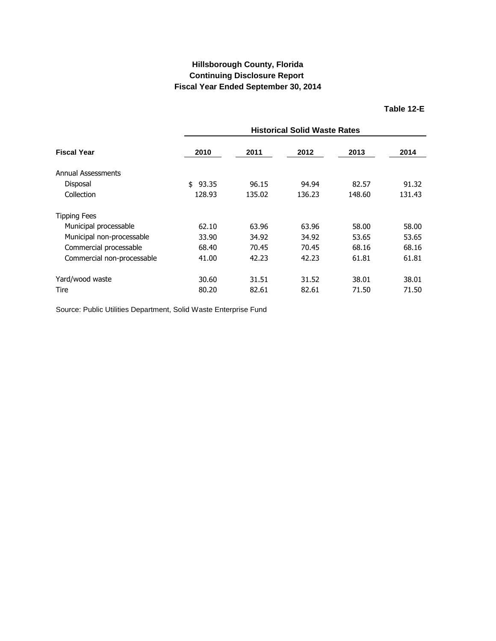<span id="page-44-0"></span>

|                            | <b>Historical Solid Waste Rates</b> |        |        |        |        |  |  |
|----------------------------|-------------------------------------|--------|--------|--------|--------|--|--|
| Fiscal Year                | 2010                                | 2011   | 2012   | 2013   | 2014   |  |  |
| Annual Assessments         |                                     |        |        |        |        |  |  |
| Disposal                   | 93.35<br>\$                         | 96.15  | 94.94  | 82.57  | 91.32  |  |  |
| Collection                 | 128.93                              | 135.02 | 136.23 | 148.60 | 131.43 |  |  |
| Tipping Fees               |                                     |        |        |        |        |  |  |
| Municipal processable      | 62.10                               | 63.96  | 63.96  | 58.00  | 58.00  |  |  |
| Municipal non-processable  | 33.90                               | 34.92  | 34.92  | 53.65  | 53.65  |  |  |
| Commercial processable     | 68.40                               | 70.45  | 70.45  | 68.16  | 68.16  |  |  |
| Commercial non-processable | 41.00                               | 42.23  | 42.23  | 61.81  | 61.81  |  |  |
| Yard/wood waste            | 30.60                               | 31.51  | 31.52  | 38.01  | 38.01  |  |  |
| Tire                       | 80.20                               | 82.61  | 82.61  | 71.50  | 71.50  |  |  |

Source: Public Utilities Department, Solid Waste Enterprise Fund

**Table 12-E**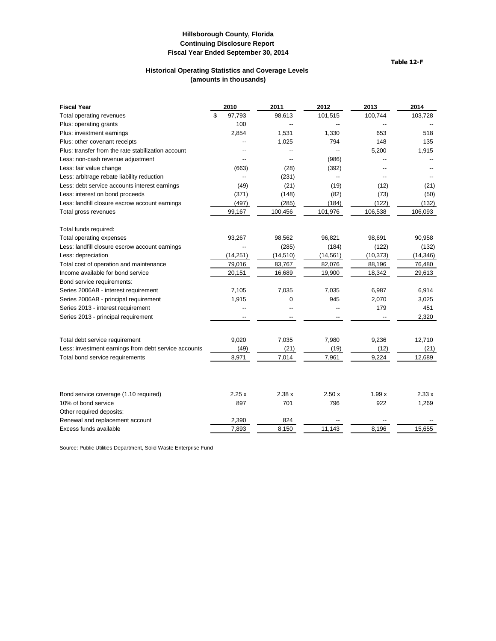**Table 12-F**

### **Historical Operating Statistics and Coverage Levels (amounts in thousands)**

<span id="page-45-0"></span>

| <b>Fiscal Year</b>                                   | 2010                     | 2011          | 2012          | 2013          | 2014           |
|------------------------------------------------------|--------------------------|---------------|---------------|---------------|----------------|
| Total operating revenues                             | \$<br>97,793             | 98,613        | 101,515       | 100,744       | 103,728        |
| Plus: operating grants                               | 100                      |               |               |               |                |
| Plus: investment earnings                            | 2,854                    | 1,531         | 1,330         | 653           | 518            |
| Plus: other covenant receipts                        |                          | 1,025         | 794           | 148           | 135            |
| Plus: transfer from the rate stabilization account   |                          |               |               | 5,200         | 1,915          |
| Less: non-cash revenue adjustment                    |                          | --            | (986)         |               |                |
| Less: fair value change                              | (663)                    | (28)          | (392)         |               |                |
| Less: arbitrage rebate liability reduction           | $\overline{\phantom{a}}$ | (231)         |               |               |                |
| Less: debt service accounts interest earnings        | (49)                     | (21)          | (19)          | (12)          | (21)           |
| Less: interest on bond proceeds                      | (371)                    | (148)         | (82)          | (73)          | (50)           |
| Less: landfill closure escrow account earnings       | (497)                    | (285)         | (184)         | (122)         | (132)          |
| Total gross revenues                                 | 99,167                   | 100,456       | 101,976       | 106,538       | 106,093        |
| Total funds required:                                |                          |               |               |               |                |
| Total operating expenses                             | 93,267                   | 98,562        | 96,821        | 98,691        | 90,958         |
| Less: landfill closure escrow account earnings       |                          | (285)         | (184)         | (122)         | (132)          |
| Less: depreciation                                   | (14, 251)                | (14, 510)     | (14, 561)     | (10, 373)     | (14, 346)      |
| Total cost of operation and maintenance              | 79,016                   | 83,767        | 82,076        | 88,196        | 76,480         |
| Income available for bond service                    | 20,151                   | 16,689        | 19,900        | 18,342        | 29,613         |
| Bond service requirements:                           |                          |               |               |               |                |
| Series 2006AB - interest requirement                 | 7,105                    | 7,035         | 7,035         | 6,987         | 6,914          |
| Series 2006AB - principal requirement                | 1,915                    | $\mathbf 0$   | 945           | 2,070         | 3,025          |
| Series 2013 - interest requirement                   | $\overline{a}$           |               | --            | 179           | 451            |
| Series 2013 - principal requirement                  | ٠.                       |               |               |               | 2,320          |
|                                                      |                          |               |               |               |                |
| Total debt service requirement                       | 9,020                    | 7,035         | 7,980         | 9,236         | 12,710         |
| Less: investment earnings from debt service accounts | (49)<br>8,971            | (21)<br>7,014 | (19)<br>7,961 | (12)<br>9,224 | (21)<br>12,689 |
| Total bond service requirements                      |                          |               |               |               |                |
|                                                      |                          |               |               |               |                |
| Bond service coverage (1.10 required)                | 2.25x                    | 2.38x         | 2.50x         | 1.99x         | 2.33x          |
| 10% of bond service                                  | 897                      | 701           | 796           | 922           | 1,269          |
| Other required deposits:                             |                          |               |               |               |                |
| Renewal and replacement account                      | 2,390                    | 824           |               |               |                |
| Excess funds available                               | 7,893                    | 8,150         | 11.143        | 8,196         | 15,655         |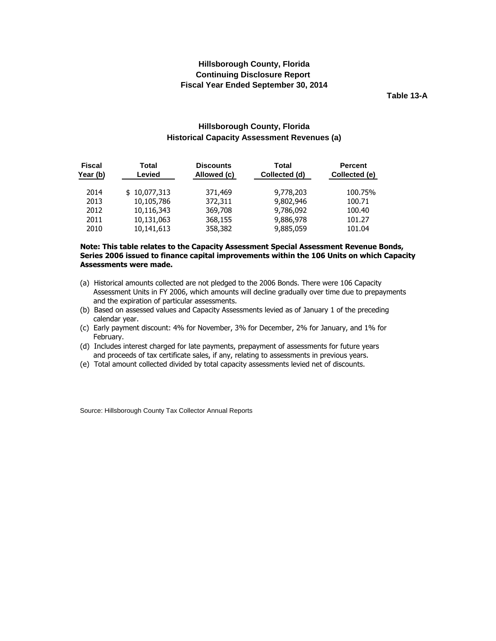**Table 13-A**

## **Hillsborough County, Florida Historical Capacity Assessment Revenues (a)**

<span id="page-46-0"></span>

| <b>Fiscal</b><br>Year (b) | Total<br>Levied | <b>Discounts</b><br>Allowed (c) | Total<br>Collected (d) | <b>Percent</b><br>Collected (e) |
|---------------------------|-----------------|---------------------------------|------------------------|---------------------------------|
| 2014                      | \$10,077,313    | 371,469                         | 9,778,203              | 100.75%                         |
| 2013                      | 10,105,786      | 372,311                         | 9,802,946              | 100.71                          |
| 2012                      | 10,116,343      | 369,708                         | 9,786,092              | 100.40                          |
| 2011                      | 10,131,063      | 368,155                         | 9,886,978              | 101.27                          |
| 2010                      | 10,141,613      | 358,382                         | 9,885,059              | 101.04                          |

#### **Note: This table relates to the Capacity Assessment Special Assessment Revenue Bonds, Series 2006 issued to finance capital improvements within the 106 Units on which Capacity Assessments were made.**

- (a) Historical amounts collected are not pledged to the 2006 Bonds. There were 106 Capacity Assessment Units in FY 2006, which amounts will decline gradually over time due to prepayments and the expiration of particular assessments.
- (b) Based on assessed values and Capacity Assessments levied as of January 1 of the preceding calendar year.
- (c) Early payment discount: 4% for November, 3% for December, 2% for January, and 1% for February.
- (d) Includes interest charged for late payments, prepayment of assessments for future years and proceeds of tax certificate sales, if any, relating to assessments in previous years.
- (e) Total amount collected divided by total capacity assessments levied net of discounts.

Source: Hillsborough County Tax Collector Annual Reports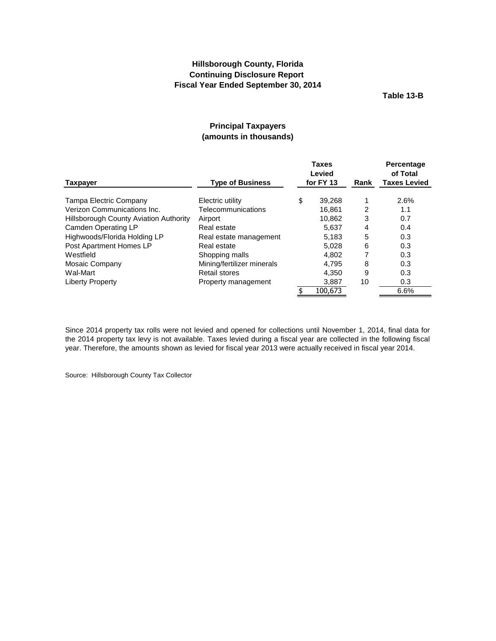**Table 13-B**

## **Principal Taxpayers (amounts in thousands)**

<span id="page-47-0"></span>

|                                               |                            |    | <b>Taxes</b><br>Levied |                | Percentage<br>of Total |
|-----------------------------------------------|----------------------------|----|------------------------|----------------|------------------------|
| <b>Taxpayer</b>                               | <b>Type of Business</b>    |    | for FY 13<br>Rank      |                | <b>Taxes Levied</b>    |
| Tampa Electric Company                        | Electric utility           | \$ | 39,268                 | 1              | 2.6%                   |
| Verizon Communications Inc.                   | Telecommunications         |    | 16.861                 | $\overline{2}$ | 1.1                    |
| <b>Hillsborough County Aviation Authority</b> | Airport                    |    | 10,862                 | 3              | 0.7                    |
| Camden Operating LP                           | Real estate                |    | 5,637                  | 4              | 0.4                    |
| Highwoods/Florida Holding LP                  | Real estate management     |    | 5,183                  | 5              | 0.3                    |
| Post Apartment Homes LP                       | Real estate                |    | 5.028                  | 6              | 0.3                    |
| Westfield                                     | Shopping malls             |    | 4,802                  |                | 0.3                    |
| Mosaic Company                                | Mining/fertilizer minerals |    | 4.795                  | 8              | 0.3                    |
| Wal-Mart                                      | <b>Retail stores</b>       |    | 4,350                  | 9              | 0.3                    |
| Liberty Property                              | Property management        |    | 3,887                  | 10             | 0.3                    |
|                                               |                            |    | 100,673                |                | 6.6%                   |

Since 2014 property tax rolls were not levied and opened for collections until November 1, 2014, final data for the 2014 property tax levy is not available. Taxes levied during a fiscal year are collected in the following fiscal year. Therefore, the amounts shown as levied for fiscal year 2013 were actually received in fiscal year 2014.